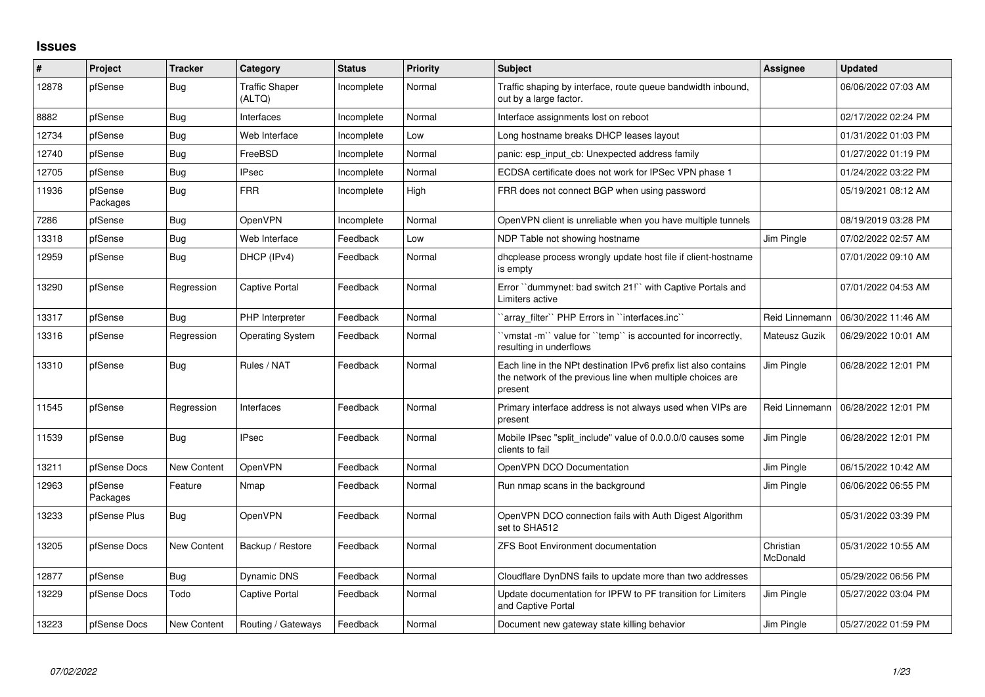## **Issues**

| ∦     | Project             | <b>Tracker</b>     | Category                        | <b>Status</b> | Priority | <b>Subject</b>                                                                                                                           | <b>Assignee</b>       | <b>Updated</b>      |
|-------|---------------------|--------------------|---------------------------------|---------------|----------|------------------------------------------------------------------------------------------------------------------------------------------|-----------------------|---------------------|
| 12878 | pfSense             | Bug                | <b>Traffic Shaper</b><br>(ALTQ) | Incomplete    | Normal   | Traffic shaping by interface, route queue bandwidth inbound,<br>out by a large factor.                                                   |                       | 06/06/2022 07:03 AM |
| 8882  | pfSense             | Bug                | Interfaces                      | Incomplete    | Normal   | Interface assignments lost on reboot                                                                                                     |                       | 02/17/2022 02:24 PM |
| 12734 | pfSense             | Bug                | Web Interface                   | Incomplete    | Low      | Long hostname breaks DHCP leases layout                                                                                                  |                       | 01/31/2022 01:03 PM |
| 12740 | pfSense             | Bug                | FreeBSD                         | Incomplete    | Normal   | panic: esp_input_cb: Unexpected address family                                                                                           |                       | 01/27/2022 01:19 PM |
| 12705 | pfSense             | Bug                | <b>IPsec</b>                    | Incomplete    | Normal   | ECDSA certificate does not work for IPSec VPN phase 1                                                                                    |                       | 01/24/2022 03:22 PM |
| 11936 | pfSense<br>Packages | Bug                | <b>FRR</b>                      | Incomplete    | High     | FRR does not connect BGP when using password                                                                                             |                       | 05/19/2021 08:12 AM |
| 7286  | pfSense             | Bug                | OpenVPN                         | Incomplete    | Normal   | OpenVPN client is unreliable when you have multiple tunnels                                                                              |                       | 08/19/2019 03:28 PM |
| 13318 | pfSense             | Bug                | Web Interface                   | Feedback      | Low      | NDP Table not showing hostname                                                                                                           | Jim Pingle            | 07/02/2022 02:57 AM |
| 12959 | pfSense             | Bug                | DHCP (IPv4)                     | Feedback      | Normal   | dhoplease process wrongly update host file if client-hostname<br>is empty                                                                |                       | 07/01/2022 09:10 AM |
| 13290 | pfSense             | Regression         | Captive Portal                  | Feedback      | Normal   | Error "dummynet: bad switch 21!" with Captive Portals and<br>Limiters active                                                             |                       | 07/01/2022 04:53 AM |
| 13317 | pfSense             | Bug                | PHP Interpreter                 | Feedback      | Normal   | 'array filter'' PHP Errors in ''interfaces.inc''                                                                                         | Reid Linnemann        | 06/30/2022 11:46 AM |
| 13316 | pfSense             | Regression         | <b>Operating System</b>         | Feedback      | Normal   | 'vmstat -m'` value for ''temp'' is accounted for incorrectly,<br>resulting in underflows                                                 | Mateusz Guzik         | 06/29/2022 10:01 AM |
| 13310 | pfSense             | Bug                | Rules / NAT                     | Feedback      | Normal   | Each line in the NPt destination IPv6 prefix list also contains<br>the network of the previous line when multiple choices are<br>present | Jim Pingle            | 06/28/2022 12:01 PM |
| 11545 | pfSense             | Regression         | Interfaces                      | Feedback      | Normal   | Primary interface address is not always used when VIPs are<br>present                                                                    | Reid Linnemann        | 06/28/2022 12:01 PM |
| 11539 | pfSense             | Bug                | <b>IPsec</b>                    | Feedback      | Normal   | Mobile IPsec "split_include" value of 0.0.0.0/0 causes some<br>clients to fail                                                           | Jim Pingle            | 06/28/2022 12:01 PM |
| 13211 | pfSense Docs        | <b>New Content</b> | OpenVPN                         | Feedback      | Normal   | OpenVPN DCO Documentation                                                                                                                | Jim Pingle            | 06/15/2022 10:42 AM |
| 12963 | pfSense<br>Packages | Feature            | Nmap                            | Feedback      | Normal   | Run nmap scans in the background                                                                                                         | Jim Pingle            | 06/06/2022 06:55 PM |
| 13233 | pfSense Plus        | Bug                | OpenVPN                         | Feedback      | Normal   | OpenVPN DCO connection fails with Auth Digest Algorithm<br>set to SHA512                                                                 |                       | 05/31/2022 03:39 PM |
| 13205 | pfSense Docs        | <b>New Content</b> | Backup / Restore                | Feedback      | Normal   | <b>ZFS Boot Environment documentation</b>                                                                                                | Christian<br>McDonald | 05/31/2022 10:55 AM |
| 12877 | pfSense             | Bug                | <b>Dynamic DNS</b>              | Feedback      | Normal   | Cloudflare DynDNS fails to update more than two addresses                                                                                |                       | 05/29/2022 06:56 PM |
| 13229 | pfSense Docs        | Todo               | <b>Captive Portal</b>           | Feedback      | Normal   | Update documentation for IPFW to PF transition for Limiters<br>and Captive Portal                                                        | Jim Pingle            | 05/27/2022 03:04 PM |
| 13223 | pfSense Docs        | New Content        | Routing / Gateways              | Feedback      | Normal   | Document new gateway state killing behavior                                                                                              | Jim Pingle            | 05/27/2022 01:59 PM |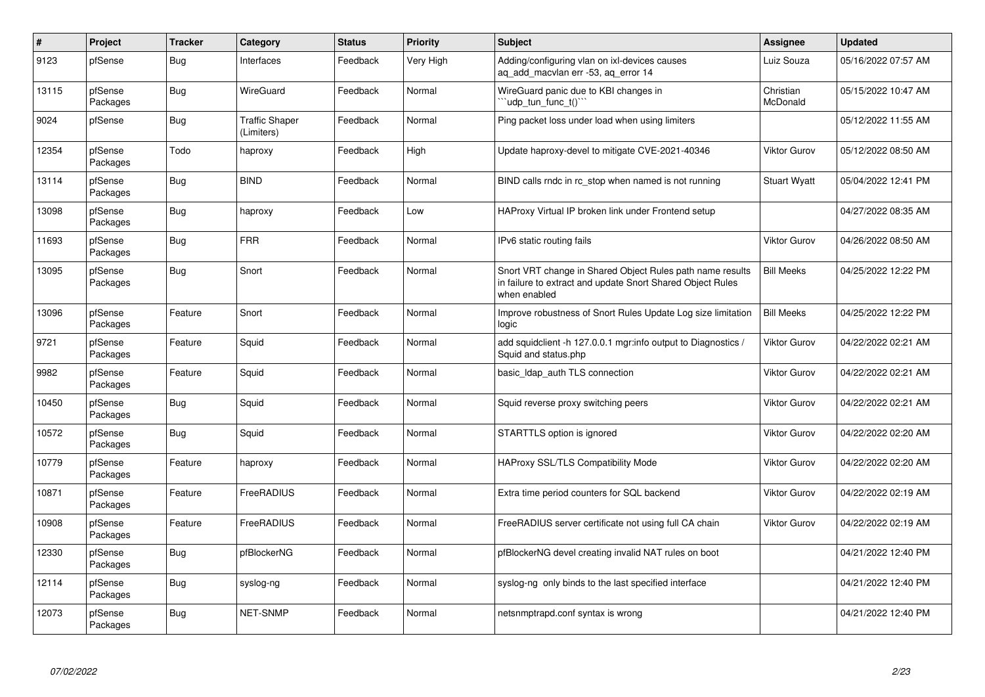| $\pmb{\#}$ | Project             | <b>Tracker</b> | Category                            | <b>Status</b> | <b>Priority</b> | <b>Subject</b>                                                                                                                          | Assignee              | <b>Updated</b>      |
|------------|---------------------|----------------|-------------------------------------|---------------|-----------------|-----------------------------------------------------------------------------------------------------------------------------------------|-----------------------|---------------------|
| 9123       | pfSense             | Bug            | Interfaces                          | Feedback      | Very High       | Adding/configuring vlan on ixl-devices causes<br>aq_add_macvlan err -53, aq_error 14                                                    | Luiz Souza            | 05/16/2022 07:57 AM |
| 13115      | pfSense<br>Packages | <b>Bug</b>     | WireGuard                           | Feedback      | Normal          | WireGuard panic due to KBI changes in<br>'udp_tun_func_t()'`                                                                            | Christian<br>McDonald | 05/15/2022 10:47 AM |
| 9024       | pfSense             | <b>Bug</b>     | <b>Traffic Shaper</b><br>(Limiters) | Feedback      | Normal          | Ping packet loss under load when using limiters                                                                                         |                       | 05/12/2022 11:55 AM |
| 12354      | pfSense<br>Packages | Todo           | haproxy                             | Feedback      | High            | Update haproxy-devel to mitigate CVE-2021-40346                                                                                         | Viktor Gurov          | 05/12/2022 08:50 AM |
| 13114      | pfSense<br>Packages | <b>Bug</b>     | <b>BIND</b>                         | Feedback      | Normal          | BIND calls rndc in rc_stop when named is not running                                                                                    | <b>Stuart Wyatt</b>   | 05/04/2022 12:41 PM |
| 13098      | pfSense<br>Packages | <b>Bug</b>     | haproxy                             | Feedback      | Low             | HAProxy Virtual IP broken link under Frontend setup                                                                                     |                       | 04/27/2022 08:35 AM |
| 11693      | pfSense<br>Packages | <b>Bug</b>     | <b>FRR</b>                          | Feedback      | Normal          | IPv6 static routing fails                                                                                                               | Viktor Gurov          | 04/26/2022 08:50 AM |
| 13095      | pfSense<br>Packages | <b>Bug</b>     | Snort                               | Feedback      | Normal          | Snort VRT change in Shared Object Rules path name results<br>in failure to extract and update Snort Shared Object Rules<br>when enabled | <b>Bill Meeks</b>     | 04/25/2022 12:22 PM |
| 13096      | pfSense<br>Packages | Feature        | Snort                               | Feedback      | Normal          | Improve robustness of Snort Rules Update Log size limitation<br>logic                                                                   | <b>Bill Meeks</b>     | 04/25/2022 12:22 PM |
| 9721       | pfSense<br>Packages | Feature        | Squid                               | Feedback      | Normal          | add squidclient -h 127.0.0.1 mgr:info output to Diagnostics /<br>Squid and status.php                                                   | Viktor Gurov          | 04/22/2022 02:21 AM |
| 9982       | pfSense<br>Packages | Feature        | Squid                               | Feedback      | Normal          | basic Idap auth TLS connection                                                                                                          | Viktor Gurov          | 04/22/2022 02:21 AM |
| 10450      | pfSense<br>Packages | Bug            | Squid                               | Feedback      | Normal          | Squid reverse proxy switching peers                                                                                                     | Viktor Gurov          | 04/22/2022 02:21 AM |
| 10572      | pfSense<br>Packages | <b>Bug</b>     | Squid                               | Feedback      | Normal          | STARTTLS option is ignored                                                                                                              | Viktor Gurov          | 04/22/2022 02:20 AM |
| 10779      | pfSense<br>Packages | Feature        | haproxy                             | Feedback      | Normal          | HAProxy SSL/TLS Compatibility Mode                                                                                                      | Viktor Gurov          | 04/22/2022 02:20 AM |
| 10871      | pfSense<br>Packages | Feature        | FreeRADIUS                          | Feedback      | Normal          | Extra time period counters for SQL backend                                                                                              | Viktor Gurov          | 04/22/2022 02:19 AM |
| 10908      | pfSense<br>Packages | Feature        | FreeRADIUS                          | Feedback      | Normal          | FreeRADIUS server certificate not using full CA chain                                                                                   | Viktor Gurov          | 04/22/2022 02:19 AM |
| 12330      | pfSense<br>Packages | <b>Bug</b>     | pfBlockerNG                         | Feedback      | Normal          | pfBlockerNG devel creating invalid NAT rules on boot                                                                                    |                       | 04/21/2022 12:40 PM |
| 12114      | pfSense<br>Packages | <b>Bug</b>     | syslog-ng                           | Feedback      | Normal          | syslog-ng only binds to the last specified interface                                                                                    |                       | 04/21/2022 12:40 PM |
| 12073      | pfSense<br>Packages | <b>Bug</b>     | NET-SNMP                            | Feedback      | Normal          | netsnmptrapd.conf syntax is wrong                                                                                                       |                       | 04/21/2022 12:40 PM |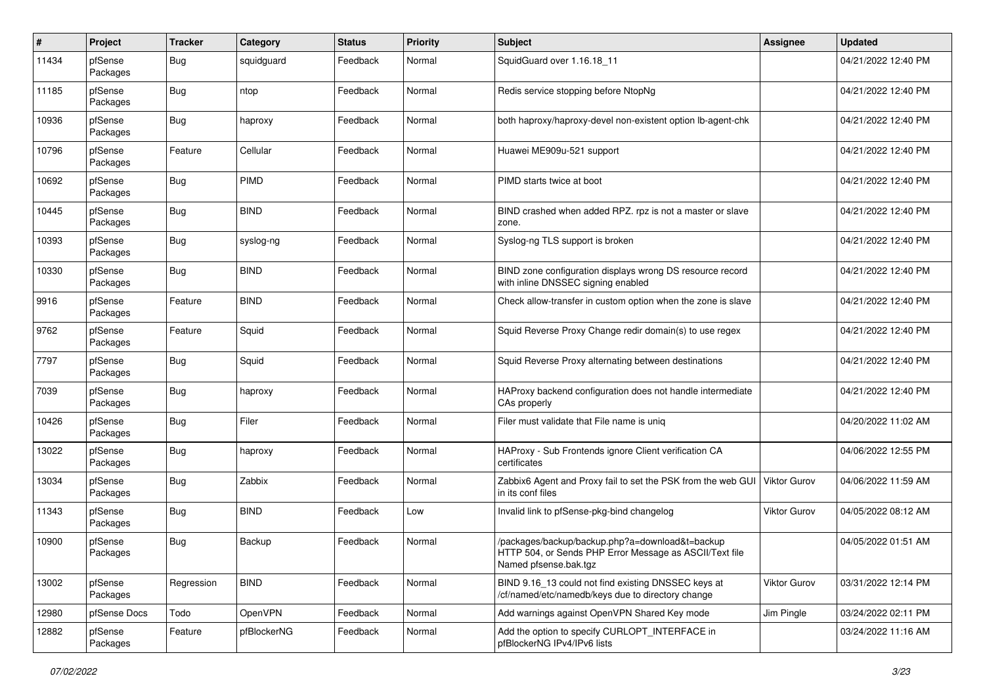| $\pmb{\#}$ | Project             | <b>Tracker</b> | Category    | <b>Status</b> | <b>Priority</b> | <b>Subject</b>                                                                                                                      | <b>Assignee</b> | <b>Updated</b>      |
|------------|---------------------|----------------|-------------|---------------|-----------------|-------------------------------------------------------------------------------------------------------------------------------------|-----------------|---------------------|
| 11434      | pfSense<br>Packages | Bug            | squidguard  | Feedback      | Normal          | SquidGuard over 1.16.18 11                                                                                                          |                 | 04/21/2022 12:40 PM |
| 11185      | pfSense<br>Packages | <b>Bug</b>     | ntop        | Feedback      | Normal          | Redis service stopping before NtopNg                                                                                                |                 | 04/21/2022 12:40 PM |
| 10936      | pfSense<br>Packages | Bug            | haproxy     | Feedback      | Normal          | both haproxy/haproxy-devel non-existent option lb-agent-chk                                                                         |                 | 04/21/2022 12:40 PM |
| 10796      | pfSense<br>Packages | Feature        | Cellular    | Feedback      | Normal          | Huawei ME909u-521 support                                                                                                           |                 | 04/21/2022 12:40 PM |
| 10692      | pfSense<br>Packages | Bug            | <b>PIMD</b> | Feedback      | Normal          | PIMD starts twice at boot                                                                                                           |                 | 04/21/2022 12:40 PM |
| 10445      | pfSense<br>Packages | Bug            | <b>BIND</b> | Feedback      | Normal          | BIND crashed when added RPZ. rpz is not a master or slave<br>zone.                                                                  |                 | 04/21/2022 12:40 PM |
| 10393      | pfSense<br>Packages | <b>Bug</b>     | syslog-ng   | Feedback      | Normal          | Syslog-ng TLS support is broken                                                                                                     |                 | 04/21/2022 12:40 PM |
| 10330      | pfSense<br>Packages | Bug            | <b>BIND</b> | Feedback      | Normal          | BIND zone configuration displays wrong DS resource record<br>with inline DNSSEC signing enabled                                     |                 | 04/21/2022 12:40 PM |
| 9916       | pfSense<br>Packages | Feature        | <b>BIND</b> | Feedback      | Normal          | Check allow-transfer in custom option when the zone is slave                                                                        |                 | 04/21/2022 12:40 PM |
| 9762       | pfSense<br>Packages | Feature        | Squid       | Feedback      | Normal          | Squid Reverse Proxy Change redir domain(s) to use regex                                                                             |                 | 04/21/2022 12:40 PM |
| 7797       | pfSense<br>Packages | Bug            | Squid       | Feedback      | Normal          | Squid Reverse Proxy alternating between destinations                                                                                |                 | 04/21/2022 12:40 PM |
| 7039       | pfSense<br>Packages | Bug            | haproxy     | Feedback      | Normal          | HAProxy backend configuration does not handle intermediate<br>CAs properly                                                          |                 | 04/21/2022 12:40 PM |
| 10426      | pfSense<br>Packages | Bug            | Filer       | Feedback      | Normal          | Filer must validate that File name is unig                                                                                          |                 | 04/20/2022 11:02 AM |
| 13022      | pfSense<br>Packages | <b>Bug</b>     | haproxy     | Feedback      | Normal          | HAProxy - Sub Frontends ignore Client verification CA<br>certificates                                                               |                 | 04/06/2022 12:55 PM |
| 13034      | pfSense<br>Packages | <b>Bug</b>     | Zabbix      | Feedback      | Normal          | Zabbix6 Agent and Proxy fail to set the PSK from the web GUI<br>in its conf files                                                   | Viktor Gurov    | 04/06/2022 11:59 AM |
| 11343      | pfSense<br>Packages | <b>Bug</b>     | <b>BIND</b> | Feedback      | Low             | Invalid link to pfSense-pkg-bind changelog                                                                                          | Viktor Gurov    | 04/05/2022 08:12 AM |
| 10900      | pfSense<br>Packages | <b>Bug</b>     | Backup      | Feedback      | Normal          | /packages/backup/backup.php?a=download&t=backup<br>HTTP 504, or Sends PHP Error Message as ASCII/Text file<br>Named pfsense.bak.tgz |                 | 04/05/2022 01:51 AM |
| 13002      | pfSense<br>Packages | Regression     | <b>BIND</b> | Feedback      | Normal          | BIND 9.16 13 could not find existing DNSSEC keys at<br>/cf/named/etc/namedb/keys due to directory change                            | Viktor Gurov    | 03/31/2022 12:14 PM |
| 12980      | pfSense Docs        | Todo           | OpenVPN     | Feedback      | Normal          | Add warnings against OpenVPN Shared Key mode                                                                                        | Jim Pingle      | 03/24/2022 02:11 PM |
| 12882      | pfSense<br>Packages | Feature        | pfBlockerNG | Feedback      | Normal          | Add the option to specify CURLOPT INTERFACE in<br>pfBlockerNG IPv4/IPv6 lists                                                       |                 | 03/24/2022 11:16 AM |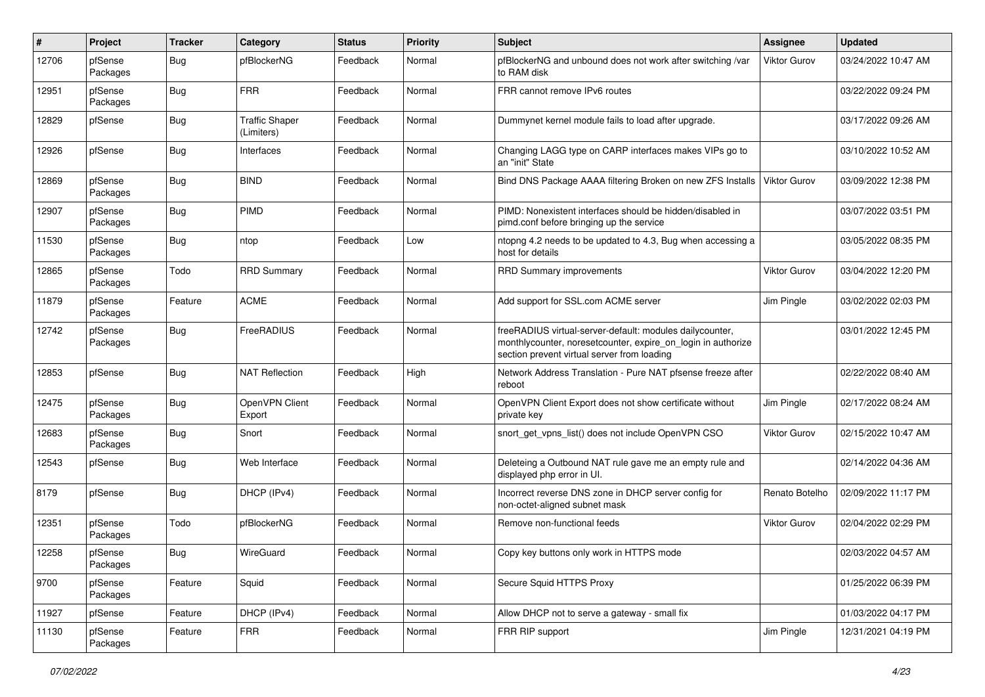| #     | Project             | Tracker    | Category                            | <b>Status</b> | <b>Priority</b> | <b>Subject</b>                                                                                                                                                          | <b>Assignee</b>     | <b>Updated</b>      |
|-------|---------------------|------------|-------------------------------------|---------------|-----------------|-------------------------------------------------------------------------------------------------------------------------------------------------------------------------|---------------------|---------------------|
| 12706 | pfSense<br>Packages | Bug        | pfBlockerNG                         | Feedback      | Normal          | pfBlockerNG and unbound does not work after switching /var<br>to RAM disk                                                                                               | Viktor Gurov        | 03/24/2022 10:47 AM |
| 12951 | pfSense<br>Packages | <b>Bug</b> | <b>FRR</b>                          | Feedback      | Normal          | FRR cannot remove IPv6 routes                                                                                                                                           |                     | 03/22/2022 09:24 PM |
| 12829 | pfSense             | Bug        | <b>Traffic Shaper</b><br>(Limiters) | Feedback      | Normal          | Dummynet kernel module fails to load after upgrade.                                                                                                                     |                     | 03/17/2022 09:26 AM |
| 12926 | pfSense             | Bug        | Interfaces                          | Feedback      | Normal          | Changing LAGG type on CARP interfaces makes VIPs go to<br>an "init" State                                                                                               |                     | 03/10/2022 10:52 AM |
| 12869 | pfSense<br>Packages | Bug        | <b>BIND</b>                         | Feedback      | Normal          | Bind DNS Package AAAA filtering Broken on new ZFS Installs                                                                                                              | <b>Viktor Gurov</b> | 03/09/2022 12:38 PM |
| 12907 | pfSense<br>Packages | <b>Bug</b> | PIMD                                | Feedback      | Normal          | PIMD: Nonexistent interfaces should be hidden/disabled in<br>pimd.conf before bringing up the service                                                                   |                     | 03/07/2022 03:51 PM |
| 11530 | pfSense<br>Packages | Bug        | ntop                                | Feedback      | Low             | ntopng 4.2 needs to be updated to 4.3, Bug when accessing a<br>host for details                                                                                         |                     | 03/05/2022 08:35 PM |
| 12865 | pfSense<br>Packages | Todo       | <b>RRD Summary</b>                  | Feedback      | Normal          | <b>RRD Summary improvements</b>                                                                                                                                         | <b>Viktor Gurov</b> | 03/04/2022 12:20 PM |
| 11879 | pfSense<br>Packages | Feature    | <b>ACME</b>                         | Feedback      | Normal          | Add support for SSL.com ACME server                                                                                                                                     | Jim Pingle          | 03/02/2022 02:03 PM |
| 12742 | pfSense<br>Packages | <b>Bug</b> | <b>FreeRADIUS</b>                   | Feedback      | Normal          | freeRADIUS virtual-server-default: modules dailycounter,<br>monthlycounter, noresetcounter, expire_on_login in authorize<br>section prevent virtual server from loading |                     | 03/01/2022 12:45 PM |
| 12853 | pfSense             | <b>Bug</b> | <b>NAT Reflection</b>               | Feedback      | High            | Network Address Translation - Pure NAT pfsense freeze after<br>reboot                                                                                                   |                     | 02/22/2022 08:40 AM |
| 12475 | pfSense<br>Packages | Bug        | OpenVPN Client<br>Export            | Feedback      | Normal          | OpenVPN Client Export does not show certificate without<br>private key                                                                                                  | Jim Pingle          | 02/17/2022 08:24 AM |
| 12683 | pfSense<br>Packages | Bug        | Snort                               | Feedback      | Normal          | snort_get_vpns_list() does not include OpenVPN CSO                                                                                                                      | <b>Viktor Gurov</b> | 02/15/2022 10:47 AM |
| 12543 | pfSense             | Bug        | Web Interface                       | Feedback      | Normal          | Deleteing a Outbound NAT rule gave me an empty rule and<br>displayed php error in UI.                                                                                   |                     | 02/14/2022 04:36 AM |
| 8179  | pfSense             | Bug        | DHCP (IPv4)                         | Feedback      | Normal          | Incorrect reverse DNS zone in DHCP server config for<br>non-octet-aligned subnet mask                                                                                   | Renato Botelho      | 02/09/2022 11:17 PM |
| 12351 | pfSense<br>Packages | Todo       | pfBlockerNG                         | Feedback      | Normal          | Remove non-functional feeds                                                                                                                                             | Viktor Gurov        | 02/04/2022 02:29 PM |
| 12258 | pfSense<br>Packages | Bug        | WireGuard                           | Feedback      | Normal          | Copy key buttons only work in HTTPS mode                                                                                                                                |                     | 02/03/2022 04:57 AM |
| 9700  | pfSense<br>Packages | Feature    | Squid                               | Feedback      | Normal          | Secure Squid HTTPS Proxy                                                                                                                                                |                     | 01/25/2022 06:39 PM |
| 11927 | pfSense             | Feature    | DHCP (IPv4)                         | Feedback      | Normal          | Allow DHCP not to serve a gateway - small fix                                                                                                                           |                     | 01/03/2022 04:17 PM |
| 11130 | pfSense<br>Packages | Feature    | FRR                                 | Feedback      | Normal          | FRR RIP support                                                                                                                                                         | Jim Pingle          | 12/31/2021 04:19 PM |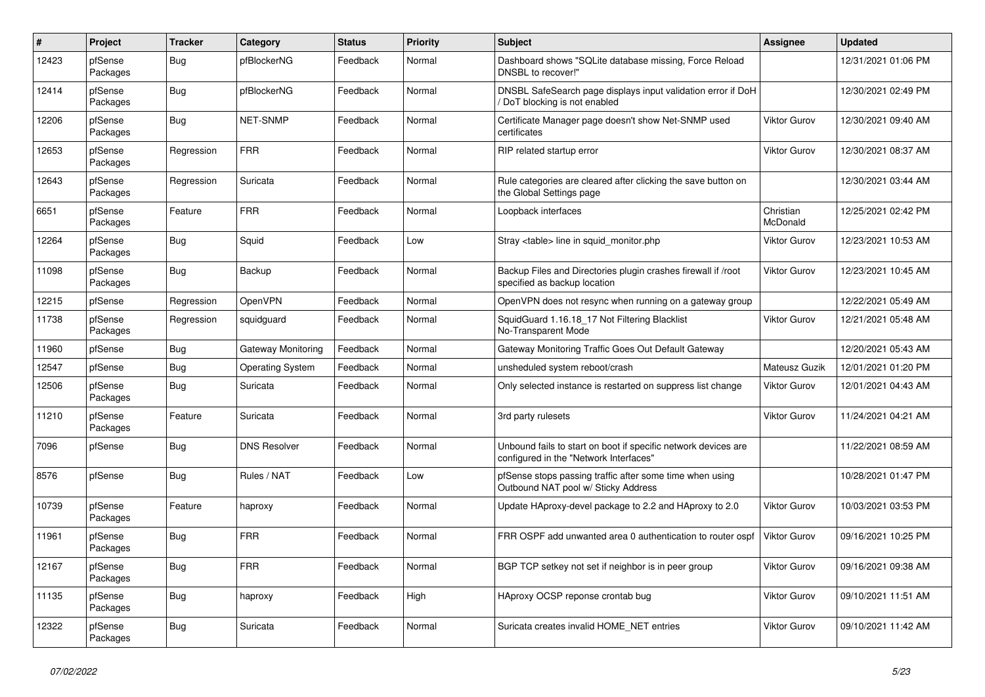| $\sharp$ | Project             | <b>Tracker</b> | Category                | <b>Status</b> | <b>Priority</b> | <b>Subject</b>                                                                                           | Assignee              | <b>Updated</b>      |
|----------|---------------------|----------------|-------------------------|---------------|-----------------|----------------------------------------------------------------------------------------------------------|-----------------------|---------------------|
| 12423    | pfSense<br>Packages | Bug            | pfBlockerNG             | Feedback      | Normal          | Dashboard shows "SQLite database missing, Force Reload<br>DNSBL to recover!"                             |                       | 12/31/2021 01:06 PM |
| 12414    | pfSense<br>Packages | <b>Bug</b>     | pfBlockerNG             | Feedback      | Normal          | DNSBL SafeSearch page displays input validation error if DoH<br>DoT blocking is not enabled              |                       | 12/30/2021 02:49 PM |
| 12206    | pfSense<br>Packages | <b>Bug</b>     | <b>NET-SNMP</b>         | Feedback      | Normal          | Certificate Manager page doesn't show Net-SNMP used<br>certificates                                      | <b>Viktor Gurov</b>   | 12/30/2021 09:40 AM |
| 12653    | pfSense<br>Packages | Regression     | <b>FRR</b>              | Feedback      | Normal          | RIP related startup error                                                                                | Viktor Gurov          | 12/30/2021 08:37 AM |
| 12643    | pfSense<br>Packages | Regression     | Suricata                | Feedback      | Normal          | Rule categories are cleared after clicking the save button on<br>the Global Settings page                |                       | 12/30/2021 03:44 AM |
| 6651     | pfSense<br>Packages | Feature        | <b>FRR</b>              | Feedback      | Normal          | Loopback interfaces                                                                                      | Christian<br>McDonald | 12/25/2021 02:42 PM |
| 12264    | pfSense<br>Packages | Bug            | Squid                   | Feedback      | Low             | Stray <table> line in squid monitor.php</table>                                                          | <b>Viktor Gurov</b>   | 12/23/2021 10:53 AM |
| 11098    | pfSense<br>Packages | Bug            | Backup                  | Feedback      | Normal          | Backup Files and Directories plugin crashes firewall if /root<br>specified as backup location            | <b>Viktor Gurov</b>   | 12/23/2021 10:45 AM |
| 12215    | pfSense             | Regression     | <b>OpenVPN</b>          | Feedback      | Normal          | OpenVPN does not resync when running on a gateway group                                                  |                       | 12/22/2021 05:49 AM |
| 11738    | pfSense<br>Packages | Regression     | squidquard              | Feedback      | Normal          | SquidGuard 1.16.18 17 Not Filtering Blacklist<br>No-Transparent Mode                                     | <b>Viktor Gurov</b>   | 12/21/2021 05:48 AM |
| 11960    | pfSense             | <b>Bug</b>     | Gateway Monitoring      | Feedback      | Normal          | Gateway Monitoring Traffic Goes Out Default Gateway                                                      |                       | 12/20/2021 05:43 AM |
| 12547    | pfSense             | Bug            | <b>Operating System</b> | Feedback      | Normal          | unsheduled system reboot/crash                                                                           | Mateusz Guzik         | 12/01/2021 01:20 PM |
| 12506    | pfSense<br>Packages | <b>Bug</b>     | Suricata                | Feedback      | Normal          | Only selected instance is restarted on suppress list change                                              | <b>Viktor Gurov</b>   | 12/01/2021 04:43 AM |
| 11210    | pfSense<br>Packages | Feature        | Suricata                | Feedback      | Normal          | 3rd party rulesets                                                                                       | <b>Viktor Gurov</b>   | 11/24/2021 04:21 AM |
| 7096     | pfSense             | <b>Bug</b>     | <b>DNS Resolver</b>     | Feedback      | Normal          | Unbound fails to start on boot if specific network devices are<br>configured in the "Network Interfaces" |                       | 11/22/2021 08:59 AM |
| 8576     | pfSense             | <b>Bug</b>     | Rules / NAT             | Feedback      | Low             | pfSense stops passing traffic after some time when using<br>Outbound NAT pool w/ Sticky Address          |                       | 10/28/2021 01:47 PM |
| 10739    | pfSense<br>Packages | Feature        | haproxy                 | Feedback      | Normal          | Update HAproxy-devel package to 2.2 and HAproxy to 2.0                                                   | <b>Viktor Gurov</b>   | 10/03/2021 03:53 PM |
| 11961    | pfSense<br>Packages | <b>Bug</b>     | <b>FRR</b>              | Feedback      | Normal          | FRR OSPF add unwanted area 0 authentication to router ospf                                               | <b>Viktor Gurov</b>   | 09/16/2021 10:25 PM |
| 12167    | pfSense<br>Packages | <b>Bug</b>     | <b>FRR</b>              | Feedback      | Normal          | BGP TCP setkey not set if neighbor is in peer group                                                      | <b>Viktor Gurov</b>   | 09/16/2021 09:38 AM |
| 11135    | pfSense<br>Packages | <b>Bug</b>     | haproxy                 | Feedback      | High            | HAproxy OCSP reponse crontab bug                                                                         | <b>Viktor Gurov</b>   | 09/10/2021 11:51 AM |
| 12322    | pfSense<br>Packages | Bug            | Suricata                | Feedback      | Normal          | Suricata creates invalid HOME NET entries                                                                | Viktor Gurov          | 09/10/2021 11:42 AM |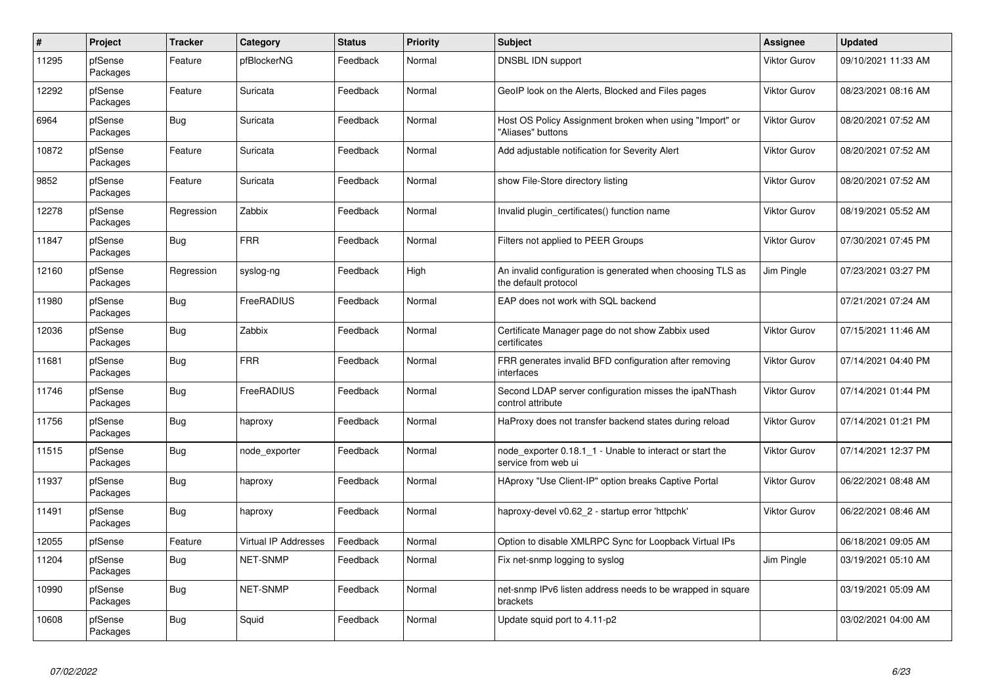| $\#$  | Project             | <b>Tracker</b> | Category                    | <b>Status</b> | <b>Priority</b> | <b>Subject</b>                                                                     | Assignee            | <b>Updated</b>      |
|-------|---------------------|----------------|-----------------------------|---------------|-----------------|------------------------------------------------------------------------------------|---------------------|---------------------|
| 11295 | pfSense<br>Packages | Feature        | pfBlockerNG                 | Feedback      | Normal          | DNSBL IDN support                                                                  | Viktor Gurov        | 09/10/2021 11:33 AM |
| 12292 | pfSense<br>Packages | Feature        | Suricata                    | Feedback      | Normal          | GeoIP look on the Alerts, Blocked and Files pages                                  | Viktor Gurov        | 08/23/2021 08:16 AM |
| 6964  | pfSense<br>Packages | Bug            | Suricata                    | Feedback      | Normal          | Host OS Policy Assignment broken when using "Import" or<br>"Aliases" buttons       | Viktor Gurov        | 08/20/2021 07:52 AM |
| 10872 | pfSense<br>Packages | Feature        | Suricata                    | Feedback      | Normal          | Add adjustable notification for Severity Alert                                     | Viktor Gurov        | 08/20/2021 07:52 AM |
| 9852  | pfSense<br>Packages | Feature        | Suricata                    | Feedback      | Normal          | show File-Store directory listing                                                  | Viktor Gurov        | 08/20/2021 07:52 AM |
| 12278 | pfSense<br>Packages | Regression     | Zabbix                      | Feedback      | Normal          | Invalid plugin_certificates() function name                                        | Viktor Gurov        | 08/19/2021 05:52 AM |
| 11847 | pfSense<br>Packages | <b>Bug</b>     | <b>FRR</b>                  | Feedback      | Normal          | Filters not applied to PEER Groups                                                 | Viktor Gurov        | 07/30/2021 07:45 PM |
| 12160 | pfSense<br>Packages | Regression     | syslog-ng                   | Feedback      | High            | An invalid configuration is generated when choosing TLS as<br>the default protocol | Jim Pingle          | 07/23/2021 03:27 PM |
| 11980 | pfSense<br>Packages | Bug            | FreeRADIUS                  | Feedback      | Normal          | EAP does not work with SQL backend                                                 |                     | 07/21/2021 07:24 AM |
| 12036 | pfSense<br>Packages | Bug            | Zabbix                      | Feedback      | Normal          | Certificate Manager page do not show Zabbix used<br>certificates                   | <b>Viktor Gurov</b> | 07/15/2021 11:46 AM |
| 11681 | pfSense<br>Packages | <b>Bug</b>     | <b>FRR</b>                  | Feedback      | Normal          | FRR generates invalid BFD configuration after removing<br>interfaces               | Viktor Gurov        | 07/14/2021 04:40 PM |
| 11746 | pfSense<br>Packages | <b>Bug</b>     | FreeRADIUS                  | Feedback      | Normal          | Second LDAP server configuration misses the ipaNThash<br>control attribute         | Viktor Gurov        | 07/14/2021 01:44 PM |
| 11756 | pfSense<br>Packages | Bug            | haproxy                     | Feedback      | Normal          | HaProxy does not transfer backend states during reload                             | <b>Viktor Gurov</b> | 07/14/2021 01:21 PM |
| 11515 | pfSense<br>Packages | <b>Bug</b>     | node_exporter               | Feedback      | Normal          | node exporter 0.18.1 1 - Unable to interact or start the<br>service from web ui    | Viktor Gurov        | 07/14/2021 12:37 PM |
| 11937 | pfSense<br>Packages | Bug            | haproxy                     | Feedback      | Normal          | HAproxy "Use Client-IP" option breaks Captive Portal                               | Viktor Gurov        | 06/22/2021 08:48 AM |
| 11491 | pfSense<br>Packages | <b>Bug</b>     | haproxy                     | Feedback      | Normal          | haproxy-devel v0.62_2 - startup error 'httpchk'                                    | Viktor Gurov        | 06/22/2021 08:46 AM |
| 12055 | pfSense             | Feature        | <b>Virtual IP Addresses</b> | Feedback      | Normal          | Option to disable XMLRPC Sync for Loopback Virtual IPs                             |                     | 06/18/2021 09:05 AM |
| 11204 | pfSense<br>Packages | <b>Bug</b>     | <b>NET-SNMP</b>             | Feedback      | Normal          | Fix net-snmp logging to syslog                                                     | Jim Pingle          | 03/19/2021 05:10 AM |
| 10990 | pfSense<br>Packages | <b>Bug</b>     | <b>NET-SNMP</b>             | Feedback      | Normal          | net-snmp IPv6 listen address needs to be wrapped in square<br>brackets             |                     | 03/19/2021 05:09 AM |
| 10608 | pfSense<br>Packages | Bug            | Squid                       | Feedback      | Normal          | Update squid port to 4.11-p2                                                       |                     | 03/02/2021 04:00 AM |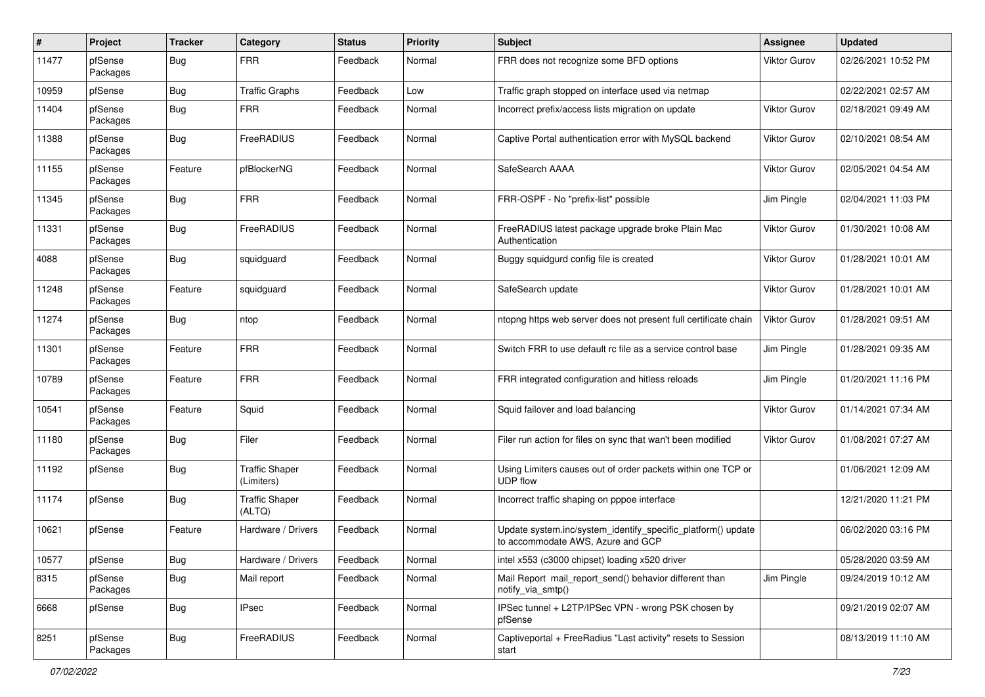| $\sharp$ | Project             | <b>Tracker</b> | Category                            | <b>Status</b> | <b>Priority</b> | <b>Subject</b>                                                                                    | <b>Assignee</b>     | <b>Updated</b>      |
|----------|---------------------|----------------|-------------------------------------|---------------|-----------------|---------------------------------------------------------------------------------------------------|---------------------|---------------------|
| 11477    | pfSense<br>Packages | <b>Bug</b>     | <b>FRR</b>                          | Feedback      | Normal          | FRR does not recognize some BFD options                                                           | Viktor Gurov        | 02/26/2021 10:52 PM |
| 10959    | pfSense             | Bug            | <b>Traffic Graphs</b>               | Feedback      | Low             | Traffic graph stopped on interface used via netmap                                                |                     | 02/22/2021 02:57 AM |
| 11404    | pfSense<br>Packages | <b>Bug</b>     | <b>FRR</b>                          | Feedback      | Normal          | Incorrect prefix/access lists migration on update                                                 | <b>Viktor Gurov</b> | 02/18/2021 09:49 AM |
| 11388    | pfSense<br>Packages | <b>Bug</b>     | <b>FreeRADIUS</b>                   | Feedback      | Normal          | Captive Portal authentication error with MySQL backend                                            | Viktor Gurov        | 02/10/2021 08:54 AM |
| 11155    | pfSense<br>Packages | Feature        | pfBlockerNG                         | Feedback      | Normal          | SafeSearch AAAA                                                                                   | <b>Viktor Gurov</b> | 02/05/2021 04:54 AM |
| 11345    | pfSense<br>Packages | <b>Bug</b>     | <b>FRR</b>                          | Feedback      | Normal          | FRR-OSPF - No "prefix-list" possible                                                              | Jim Pingle          | 02/04/2021 11:03 PM |
| 11331    | pfSense<br>Packages | <b>Bug</b>     | FreeRADIUS                          | Feedback      | Normal          | FreeRADIUS latest package upgrade broke Plain Mac<br>Authentication                               | Viktor Gurov        | 01/30/2021 10:08 AM |
| 4088     | pfSense<br>Packages | <b>Bug</b>     | squidguard                          | Feedback      | Normal          | Buggy squidgurd config file is created                                                            | <b>Viktor Gurov</b> | 01/28/2021 10:01 AM |
| 11248    | pfSense<br>Packages | Feature        | squidguard                          | Feedback      | Normal          | SafeSearch update                                                                                 | <b>Viktor Gurov</b> | 01/28/2021 10:01 AM |
| 11274    | pfSense<br>Packages | <b>Bug</b>     | ntop                                | Feedback      | Normal          | ntopng https web server does not present full certificate chain                                   | <b>Viktor Gurov</b> | 01/28/2021 09:51 AM |
| 11301    | pfSense<br>Packages | Feature        | <b>FRR</b>                          | Feedback      | Normal          | Switch FRR to use default rc file as a service control base                                       | Jim Pingle          | 01/28/2021 09:35 AM |
| 10789    | pfSense<br>Packages | Feature        | <b>FRR</b>                          | Feedback      | Normal          | FRR integrated configuration and hitless reloads                                                  | Jim Pingle          | 01/20/2021 11:16 PM |
| 10541    | pfSense<br>Packages | Feature        | Squid                               | Feedback      | Normal          | Squid failover and load balancing                                                                 | Viktor Gurov        | 01/14/2021 07:34 AM |
| 11180    | pfSense<br>Packages | <b>Bug</b>     | Filer                               | Feedback      | Normal          | Filer run action for files on sync that wan't been modified                                       | Viktor Gurov        | 01/08/2021 07:27 AM |
| 11192    | pfSense             | <b>Bug</b>     | <b>Traffic Shaper</b><br>(Limiters) | Feedback      | Normal          | Using Limiters causes out of order packets within one TCP or<br><b>UDP flow</b>                   |                     | 01/06/2021 12:09 AM |
| 11174    | pfSense             | <b>Bug</b>     | <b>Traffic Shaper</b><br>(ALTQ)     | Feedback      | Normal          | Incorrect traffic shaping on pppoe interface                                                      |                     | 12/21/2020 11:21 PM |
| 10621    | pfSense             | Feature        | Hardware / Drivers                  | Feedback      | Normal          | Update system.inc/system_identify_specific_platform() update<br>to accommodate AWS. Azure and GCP |                     | 06/02/2020 03:16 PM |
| 10577    | pfSense             | Bug            | Hardware / Drivers                  | Feedback      | Normal          | intel x553 (c3000 chipset) loading x520 driver                                                    |                     | 05/28/2020 03:59 AM |
| 8315     | pfSense<br>Packages | <b>Bug</b>     | Mail report                         | Feedback      | Normal          | Mail Report mail_report_send() behavior different than<br>notify_via_smtp()                       | Jim Pingle          | 09/24/2019 10:12 AM |
| 6668     | pfSense             | <b>Bug</b>     | <b>IPsec</b>                        | Feedback      | Normal          | IPSec tunnel + L2TP/IPSec VPN - wrong PSK chosen by<br>pfSense                                    |                     | 09/21/2019 02:07 AM |
| 8251     | pfSense<br>Packages | <b>Bug</b>     | FreeRADIUS                          | Feedback      | Normal          | Captiveportal + FreeRadius "Last activity" resets to Session<br>start                             |                     | 08/13/2019 11:10 AM |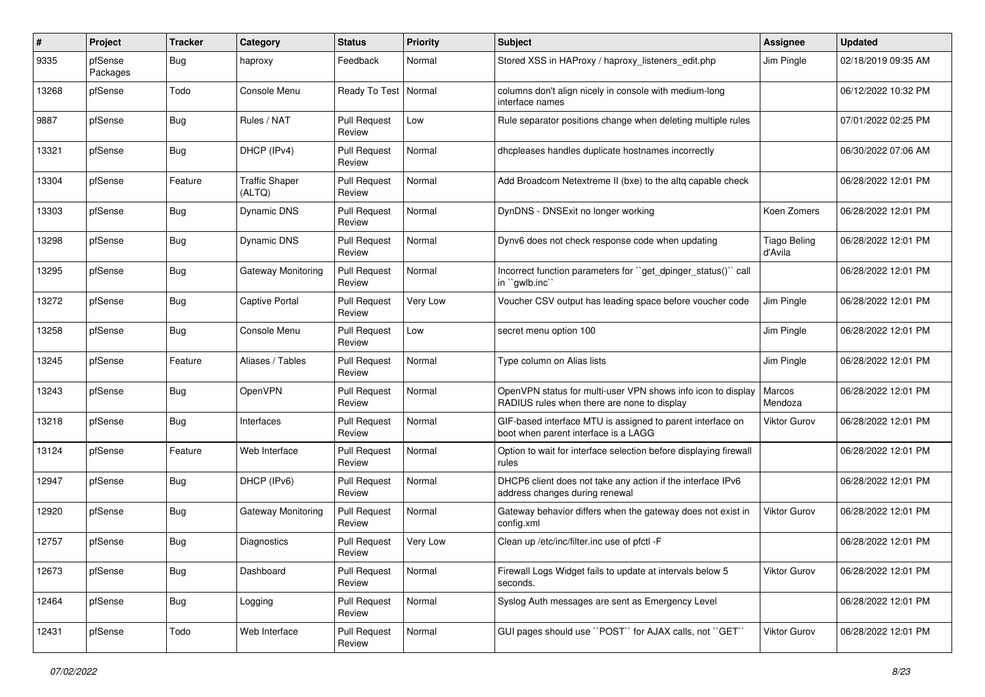| #     | Project             | <b>Tracker</b> | Category                        | <b>Status</b>                 | <b>Priority</b> | <b>Subject</b>                                                                                              | <b>Assignee</b>                | <b>Updated</b>      |
|-------|---------------------|----------------|---------------------------------|-------------------------------|-----------------|-------------------------------------------------------------------------------------------------------------|--------------------------------|---------------------|
| 9335  | pfSense<br>Packages | Bug            | haproxy                         | Feedback                      | Normal          | Stored XSS in HAProxy / haproxy_listeners_edit.php                                                          | Jim Pingle                     | 02/18/2019 09:35 AM |
| 13268 | pfSense             | Todo           | Console Menu                    | Ready To Test   Normal        |                 | columns don't align nicely in console with medium-long<br>interface names                                   |                                | 06/12/2022 10:32 PM |
| 9887  | pfSense             | <b>Bug</b>     | Rules / NAT                     | <b>Pull Request</b><br>Review | Low             | Rule separator positions change when deleting multiple rules                                                |                                | 07/01/2022 02:25 PM |
| 13321 | pfSense             | Bug            | DHCP (IPv4)                     | <b>Pull Request</b><br>Review | Normal          | dhcpleases handles duplicate hostnames incorrectly                                                          |                                | 06/30/2022 07:06 AM |
| 13304 | pfSense             | Feature        | <b>Traffic Shaper</b><br>(ALTQ) | <b>Pull Request</b><br>Review | Normal          | Add Broadcom Netextreme II (bxe) to the altg capable check                                                  |                                | 06/28/2022 12:01 PM |
| 13303 | pfSense             | Bug            | <b>Dynamic DNS</b>              | <b>Pull Request</b><br>Review | Normal          | DynDNS - DNSExit no longer working                                                                          | Koen Zomers                    | 06/28/2022 12:01 PM |
| 13298 | pfSense             | <b>Bug</b>     | Dynamic DNS                     | <b>Pull Request</b><br>Review | Normal          | Dynv6 does not check response code when updating                                                            | <b>Tiago Beling</b><br>d'Avila | 06/28/2022 12:01 PM |
| 13295 | pfSense             | <b>Bug</b>     | <b>Gateway Monitoring</b>       | <b>Pull Request</b><br>Review | Normal          | Incorrect function parameters for "get_dpinger_status()" call<br>in "gwlb.inc"                              |                                | 06/28/2022 12:01 PM |
| 13272 | pfSense             | <b>Bug</b>     | <b>Captive Portal</b>           | <b>Pull Request</b><br>Review | Very Low        | Voucher CSV output has leading space before voucher code                                                    | Jim Pingle                     | 06/28/2022 12:01 PM |
| 13258 | pfSense             | <b>Bug</b>     | Console Menu                    | <b>Pull Request</b><br>Review | Low             | secret menu option 100                                                                                      | Jim Pingle                     | 06/28/2022 12:01 PM |
| 13245 | pfSense             | Feature        | Aliases / Tables                | <b>Pull Request</b><br>Review | Normal          | Type column on Alias lists                                                                                  | Jim Pingle                     | 06/28/2022 12:01 PM |
| 13243 | pfSense             | Bug            | OpenVPN                         | <b>Pull Request</b><br>Review | Normal          | OpenVPN status for multi-user VPN shows info icon to display<br>RADIUS rules when there are none to display | Marcos<br>Mendoza              | 06/28/2022 12:01 PM |
| 13218 | pfSense             | Bug            | Interfaces                      | <b>Pull Request</b><br>Review | Normal          | GIF-based interface MTU is assigned to parent interface on<br>boot when parent interface is a LAGG          | Viktor Gurov                   | 06/28/2022 12:01 PM |
| 13124 | pfSense             | Feature        | Web Interface                   | <b>Pull Request</b><br>Review | Normal          | Option to wait for interface selection before displaying firewall<br>rules                                  |                                | 06/28/2022 12:01 PM |
| 12947 | pfSense             | <b>Bug</b>     | DHCP (IPv6)                     | <b>Pull Request</b><br>Review | Normal          | DHCP6 client does not take any action if the interface IPv6<br>address changes during renewal               |                                | 06/28/2022 12:01 PM |
| 12920 | pfSense             | <b>Bug</b>     | <b>Gateway Monitoring</b>       | <b>Pull Request</b><br>Review | Normal          | Gateway behavior differs when the gateway does not exist in<br>config.xml                                   | Viktor Gurov                   | 06/28/2022 12:01 PM |
| 12757 | pfSense             | <b>Bug</b>     | Diagnostics                     | <b>Pull Request</b><br>Review | Very Low        | Clean up /etc/inc/filter.inc use of pfctl -F                                                                |                                | 06/28/2022 12:01 PM |
| 12673 | pfSense             | Bug            | Dashboard                       | <b>Pull Request</b><br>Review | Normal          | Firewall Logs Widget fails to update at intervals below 5<br>seconds.                                       | Viktor Gurov                   | 06/28/2022 12:01 PM |
| 12464 | pfSense             | <b>Bug</b>     | Logging                         | <b>Pull Request</b><br>Review | Normal          | Syslog Auth messages are sent as Emergency Level                                                            |                                | 06/28/2022 12:01 PM |
| 12431 | pfSense             | Todo           | Web Interface                   | <b>Pull Request</b><br>Review | Normal          | GUI pages should use "POST" for AJAX calls, not "GET"                                                       | Viktor Gurov                   | 06/28/2022 12:01 PM |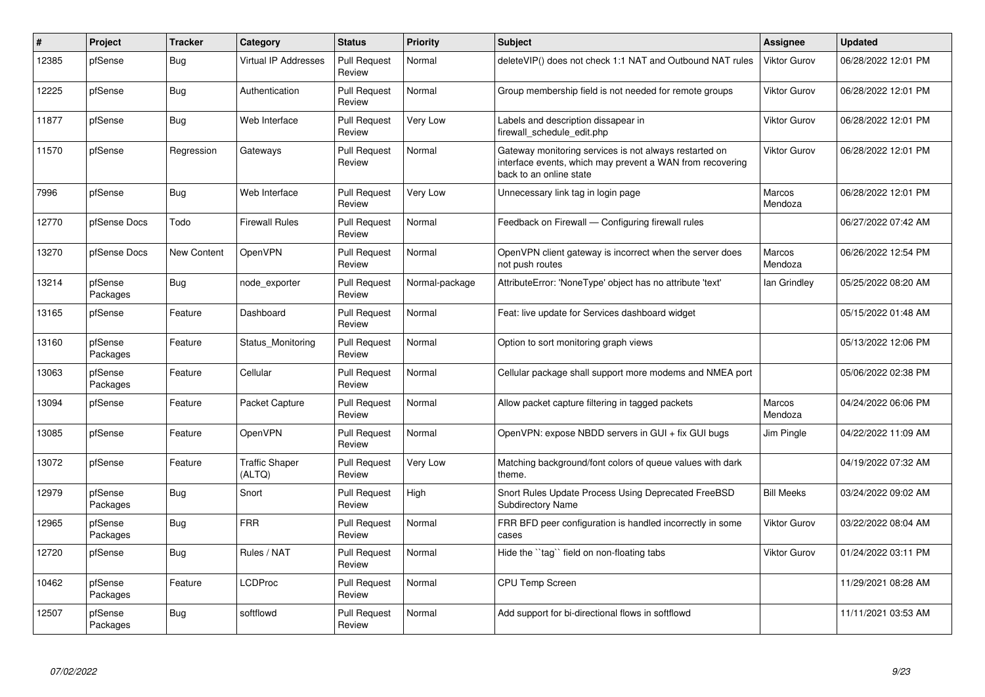| $\#$  | <b>Project</b>      | <b>Tracker</b>     | Category                        | <b>Status</b>                 | <b>Priority</b> | <b>Subject</b>                                                                                                                                 | <b>Assignee</b>     | <b>Updated</b>      |
|-------|---------------------|--------------------|---------------------------------|-------------------------------|-----------------|------------------------------------------------------------------------------------------------------------------------------------------------|---------------------|---------------------|
| 12385 | pfSense             | <b>Bug</b>         | <b>Virtual IP Addresses</b>     | <b>Pull Request</b><br>Review | Normal          | deleteVIP() does not check 1:1 NAT and Outbound NAT rules                                                                                      | Viktor Gurov        | 06/28/2022 12:01 PM |
| 12225 | pfSense             | <b>Bug</b>         | Authentication                  | <b>Pull Request</b><br>Review | Normal          | Group membership field is not needed for remote groups                                                                                         | Viktor Gurov        | 06/28/2022 12:01 PM |
| 11877 | pfSense             | <b>Bug</b>         | Web Interface                   | <b>Pull Request</b><br>Review | Very Low        | Labels and description dissapear in<br>firewall schedule edit.php                                                                              | Viktor Gurov        | 06/28/2022 12:01 PM |
| 11570 | pfSense             | Regression         | Gateways                        | <b>Pull Request</b><br>Review | Normal          | Gateway monitoring services is not always restarted on<br>interface events, which may prevent a WAN from recovering<br>back to an online state | Viktor Gurov        | 06/28/2022 12:01 PM |
| 7996  | pfSense             | <b>Bug</b>         | Web Interface                   | <b>Pull Request</b><br>Review | Very Low        | Unnecessary link tag in login page                                                                                                             | Marcos<br>Mendoza   | 06/28/2022 12:01 PM |
| 12770 | pfSense Docs        | Todo               | <b>Firewall Rules</b>           | <b>Pull Request</b><br>Review | Normal          | Feedback on Firewall - Configuring firewall rules                                                                                              |                     | 06/27/2022 07:42 AM |
| 13270 | pfSense Docs        | <b>New Content</b> | <b>OpenVPN</b>                  | <b>Pull Request</b><br>Review | Normal          | OpenVPN client gateway is incorrect when the server does<br>not push routes                                                                    | Marcos<br>Mendoza   | 06/26/2022 12:54 PM |
| 13214 | pfSense<br>Packages | <b>Bug</b>         | node exporter                   | <b>Pull Request</b><br>Review | Normal-package  | AttributeError: 'NoneType' object has no attribute 'text'                                                                                      | lan Grindley        | 05/25/2022 08:20 AM |
| 13165 | pfSense             | Feature            | Dashboard                       | <b>Pull Request</b><br>Review | Normal          | Feat: live update for Services dashboard widget                                                                                                |                     | 05/15/2022 01:48 AM |
| 13160 | pfSense<br>Packages | Feature            | Status Monitoring               | <b>Pull Request</b><br>Review | Normal          | Option to sort monitoring graph views                                                                                                          |                     | 05/13/2022 12:06 PM |
| 13063 | pfSense<br>Packages | Feature            | Cellular                        | <b>Pull Request</b><br>Review | Normal          | Cellular package shall support more modems and NMEA port                                                                                       |                     | 05/06/2022 02:38 PM |
| 13094 | pfSense             | Feature            | Packet Capture                  | <b>Pull Request</b><br>Review | Normal          | Allow packet capture filtering in tagged packets                                                                                               | Marcos<br>Mendoza   | 04/24/2022 06:06 PM |
| 13085 | pfSense             | Feature            | <b>OpenVPN</b>                  | <b>Pull Request</b><br>Review | Normal          | OpenVPN: expose NBDD servers in GUI + fix GUI bugs                                                                                             | Jim Pingle          | 04/22/2022 11:09 AM |
| 13072 | pfSense             | Feature            | <b>Traffic Shaper</b><br>(ALTQ) | <b>Pull Request</b><br>Review | Very Low        | Matching background/font colors of queue values with dark<br>theme.                                                                            |                     | 04/19/2022 07:32 AM |
| 12979 | pfSense<br>Packages | <b>Bug</b>         | Snort                           | <b>Pull Request</b><br>Review | High            | Snort Rules Update Process Using Deprecated FreeBSD<br><b>Subdirectory Name</b>                                                                | <b>Bill Meeks</b>   | 03/24/2022 09:02 AM |
| 12965 | pfSense<br>Packages | <b>Bug</b>         | <b>FRR</b>                      | <b>Pull Request</b><br>Review | Normal          | FRR BFD peer configuration is handled incorrectly in some<br>cases                                                                             | <b>Viktor Gurov</b> | 03/22/2022 08:04 AM |
| 12720 | pfSense             | <b>Bug</b>         | Rules / NAT                     | <b>Pull Request</b><br>Review | Normal          | Hide the ``tag`` field on non-floating tabs                                                                                                    | Viktor Gurov        | 01/24/2022 03:11 PM |
| 10462 | pfSense<br>Packages | Feature            | <b>LCDProc</b>                  | <b>Pull Request</b><br>Review | Normal          | <b>CPU Temp Screen</b>                                                                                                                         |                     | 11/29/2021 08:28 AM |
| 12507 | pfSense<br>Packages | <b>Bug</b>         | softflowd                       | <b>Pull Request</b><br>Review | Normal          | Add support for bi-directional flows in softflowd                                                                                              |                     | 11/11/2021 03:53 AM |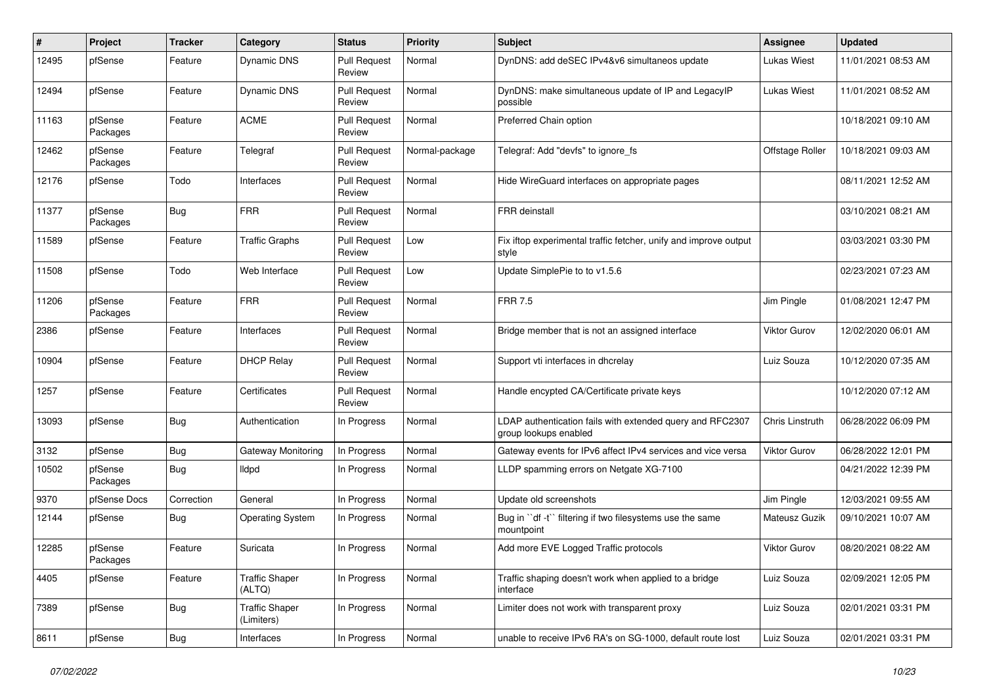| #     | Project             | <b>Tracker</b> | Category                            | <b>Status</b>                 | <b>Priority</b> | <b>Subject</b>                                                                     | <b>Assignee</b>     | <b>Updated</b>      |
|-------|---------------------|----------------|-------------------------------------|-------------------------------|-----------------|------------------------------------------------------------------------------------|---------------------|---------------------|
| 12495 | pfSense             | Feature        | <b>Dynamic DNS</b>                  | <b>Pull Request</b><br>Review | Normal          | DynDNS: add deSEC IPv4&v6 simultaneos update                                       | <b>Lukas Wiest</b>  | 11/01/2021 08:53 AM |
| 12494 | pfSense             | Feature        | <b>Dynamic DNS</b>                  | <b>Pull Request</b><br>Review | Normal          | DynDNS: make simultaneous update of IP and LegacyIP<br>possible                    | <b>Lukas Wiest</b>  | 11/01/2021 08:52 AM |
| 11163 | pfSense<br>Packages | Feature        | <b>ACME</b>                         | <b>Pull Request</b><br>Review | Normal          | Preferred Chain option                                                             |                     | 10/18/2021 09:10 AM |
| 12462 | pfSense<br>Packages | Feature        | Telegraf                            | <b>Pull Request</b><br>Review | Normal-package  | Telegraf: Add "devfs" to ignore fs                                                 | Offstage Roller     | 10/18/2021 09:03 AM |
| 12176 | pfSense             | Todo           | Interfaces                          | <b>Pull Request</b><br>Review | Normal          | Hide WireGuard interfaces on appropriate pages                                     |                     | 08/11/2021 12:52 AM |
| 11377 | pfSense<br>Packages | <b>Bug</b>     | <b>FRR</b>                          | <b>Pull Request</b><br>Review | Normal          | FRR deinstall                                                                      |                     | 03/10/2021 08:21 AM |
| 11589 | pfSense             | Feature        | Traffic Graphs                      | <b>Pull Request</b><br>Review | Low             | Fix iftop experimental traffic fetcher, unify and improve output<br>style          |                     | 03/03/2021 03:30 PM |
| 11508 | pfSense             | Todo           | Web Interface                       | <b>Pull Request</b><br>Review | Low             | Update SimplePie to to v1.5.6                                                      |                     | 02/23/2021 07:23 AM |
| 11206 | pfSense<br>Packages | Feature        | <b>FRR</b>                          | <b>Pull Request</b><br>Review | Normal          | <b>FRR 7.5</b>                                                                     | Jim Pingle          | 01/08/2021 12:47 PM |
| 2386  | pfSense             | Feature        | Interfaces                          | <b>Pull Request</b><br>Review | Normal          | Bridge member that is not an assigned interface                                    | Viktor Gurov        | 12/02/2020 06:01 AM |
| 10904 | pfSense             | Feature        | <b>DHCP Relay</b>                   | <b>Pull Request</b><br>Review | Normal          | Support vti interfaces in dhcrelay                                                 | Luiz Souza          | 10/12/2020 07:35 AM |
| 1257  | pfSense             | Feature        | Certificates                        | <b>Pull Request</b><br>Review | Normal          | Handle encypted CA/Certificate private keys                                        |                     | 10/12/2020 07:12 AM |
| 13093 | pfSense             | <b>Bug</b>     | Authentication                      | In Progress                   | Normal          | LDAP authentication fails with extended query and RFC2307<br>group lookups enabled | Chris Linstruth     | 06/28/2022 06:09 PM |
| 3132  | pfSense             | <b>Bug</b>     | Gateway Monitoring                  | In Progress                   | Normal          | Gateway events for IPv6 affect IPv4 services and vice versa                        | Viktor Gurov        | 06/28/2022 12:01 PM |
| 10502 | pfSense<br>Packages | <b>Bug</b>     | lldpd                               | In Progress                   | Normal          | LLDP spamming errors on Netgate XG-7100                                            |                     | 04/21/2022 12:39 PM |
| 9370  | pfSense Docs        | Correction     | General                             | In Progress                   | Normal          | Update old screenshots                                                             | Jim Pingle          | 12/03/2021 09:55 AM |
| 12144 | pfSense             | <b>Bug</b>     | <b>Operating System</b>             | In Progress                   | Normal          | Bug in "df -t" filtering if two filesystems use the same<br>mountpoint             | Mateusz Guzik       | 09/10/2021 10:07 AM |
| 12285 | pfSense<br>Packages | Feature        | Suricata                            | In Progress                   | Normal          | Add more EVE Logged Traffic protocols                                              | <b>Viktor Gurov</b> | 08/20/2021 08:22 AM |
| 4405  | pfSense             | Feature        | <b>Traffic Shaper</b><br>(ALTQ)     | In Progress                   | Normal          | Traffic shaping doesn't work when applied to a bridge<br>interface                 | Luiz Souza          | 02/09/2021 12:05 PM |
| 7389  | pfSense             | <b>Bug</b>     | <b>Traffic Shaper</b><br>(Limiters) | In Progress                   | Normal          | Limiter does not work with transparent proxy                                       | Luiz Souza          | 02/01/2021 03:31 PM |
| 8611  | pfSense             | <b>Bug</b>     | Interfaces                          | In Progress                   | Normal          | unable to receive IPv6 RA's on SG-1000, default route lost                         | Luiz Souza          | 02/01/2021 03:31 PM |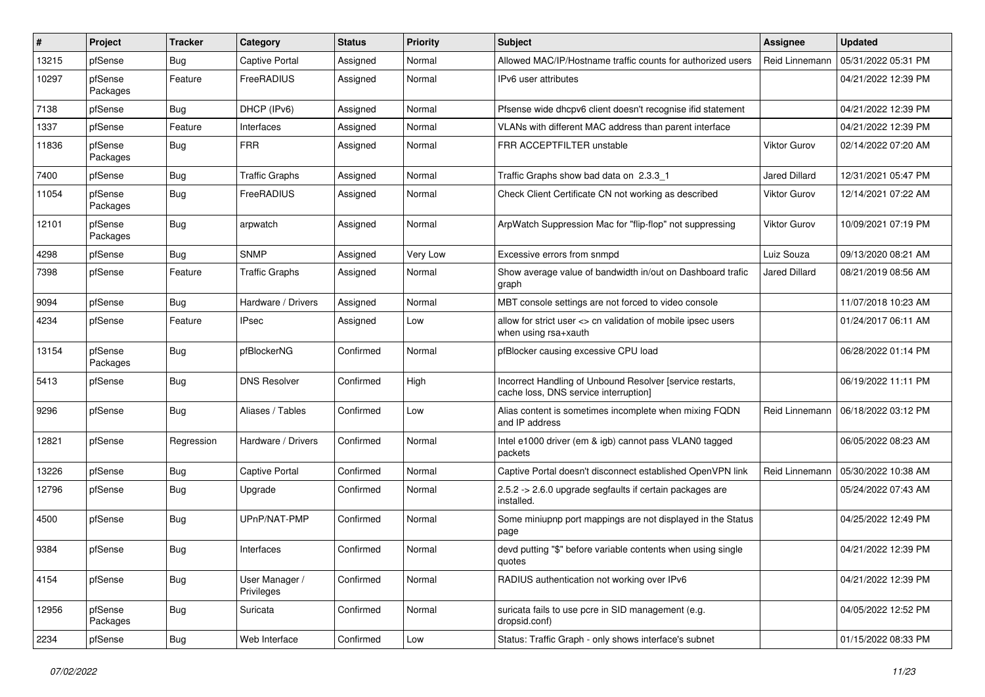| #     | Project             | <b>Tracker</b> | Category                     | <b>Status</b> | <b>Priority</b> | <b>Subject</b>                                                                                     | <b>Assignee</b>      | <b>Updated</b>      |
|-------|---------------------|----------------|------------------------------|---------------|-----------------|----------------------------------------------------------------------------------------------------|----------------------|---------------------|
| 13215 | pfSense             | <b>Bug</b>     | Captive Portal               | Assigned      | Normal          | Allowed MAC/IP/Hostname traffic counts for authorized users                                        | Reid Linnemann       | 05/31/2022 05:31 PM |
| 10297 | pfSense<br>Packages | Feature        | <b>FreeRADIUS</b>            | Assigned      | Normal          | IPv6 user attributes                                                                               |                      | 04/21/2022 12:39 PM |
| 7138  | pfSense             | <b>Bug</b>     | DHCP (IPv6)                  | Assigned      | Normal          | Pfsense wide dhcpv6 client doesn't recognise ifid statement                                        |                      | 04/21/2022 12:39 PM |
| 1337  | pfSense             | Feature        | Interfaces                   | Assigned      | Normal          | VLANs with different MAC address than parent interface                                             |                      | 04/21/2022 12:39 PM |
| 11836 | pfSense<br>Packages | <b>Bug</b>     | <b>FRR</b>                   | Assigned      | Normal          | FRR ACCEPTFILTER unstable                                                                          | Viktor Gurov         | 02/14/2022 07:20 AM |
| 7400  | pfSense             | <b>Bug</b>     | <b>Traffic Graphs</b>        | Assigned      | Normal          | Traffic Graphs show bad data on 2.3.3 1                                                            | Jared Dillard        | 12/31/2021 05:47 PM |
| 11054 | pfSense<br>Packages | <b>Bug</b>     | FreeRADIUS                   | Assigned      | Normal          | Check Client Certificate CN not working as described                                               | <b>Viktor Gurov</b>  | 12/14/2021 07:22 AM |
| 12101 | pfSense<br>Packages | <b>Bug</b>     | arpwatch                     | Assigned      | Normal          | ArpWatch Suppression Mac for "flip-flop" not suppressing                                           | <b>Viktor Gurov</b>  | 10/09/2021 07:19 PM |
| 4298  | pfSense             | <b>Bug</b>     | <b>SNMP</b>                  | Assigned      | Very Low        | Excessive errors from snmpd                                                                        | Luiz Souza           | 09/13/2020 08:21 AM |
| 7398  | pfSense             | Feature        | <b>Traffic Graphs</b>        | Assigned      | Normal          | Show average value of bandwidth in/out on Dashboard trafic<br>graph                                | <b>Jared Dillard</b> | 08/21/2019 08:56 AM |
| 9094  | pfSense             | <b>Bug</b>     | Hardware / Drivers           | Assigned      | Normal          | MBT console settings are not forced to video console                                               |                      | 11/07/2018 10:23 AM |
| 4234  | pfSense             | Feature        | <b>IPsec</b>                 | Assigned      | Low             | allow for strict user <> cn validation of mobile ipsec users<br>when using rsa+xauth               |                      | 01/24/2017 06:11 AM |
| 13154 | pfSense<br>Packages | <b>Bug</b>     | pfBlockerNG                  | Confirmed     | Normal          | pfBlocker causing excessive CPU load                                                               |                      | 06/28/2022 01:14 PM |
| 5413  | pfSense             | <b>Bug</b>     | <b>DNS Resolver</b>          | Confirmed     | High            | Incorrect Handling of Unbound Resolver [service restarts,<br>cache loss, DNS service interruption] |                      | 06/19/2022 11:11 PM |
| 9296  | pfSense             | <b>Bug</b>     | Aliases / Tables             | Confirmed     | Low             | Alias content is sometimes incomplete when mixing FQDN<br>and IP address                           | Reid Linnemann       | 06/18/2022 03:12 PM |
| 12821 | pfSense             | Regression     | Hardware / Drivers           | Confirmed     | Normal          | Intel e1000 driver (em & igb) cannot pass VLAN0 tagged<br>packets                                  |                      | 06/05/2022 08:23 AM |
| 13226 | pfSense             | <b>Bug</b>     | <b>Captive Portal</b>        | Confirmed     | Normal          | Captive Portal doesn't disconnect established OpenVPN link                                         | Reid Linnemann       | 05/30/2022 10:38 AM |
| 12796 | pfSense             | <b>Bug</b>     | Upgrade                      | Confirmed     | Normal          | 2.5.2 -> 2.6.0 upgrade segfaults if certain packages are<br>installed.                             |                      | 05/24/2022 07:43 AM |
| 4500  | pfSense             | <b>Bug</b>     | UPnP/NAT-PMP                 | Confirmed     | Normal          | Some miniupnp port mappings are not displayed in the Status<br>page                                |                      | 04/25/2022 12:49 PM |
| 9384  | pfSense             | <b>Bug</b>     | Interfaces                   | Confirmed     | Normal          | devd putting "\$" before variable contents when using single<br>quotes                             |                      | 04/21/2022 12:39 PM |
| 4154  | pfSense             | <b>Bug</b>     | User Manager /<br>Privileges | Confirmed     | Normal          | RADIUS authentication not working over IPv6                                                        |                      | 04/21/2022 12:39 PM |
| 12956 | pfSense<br>Packages | Bug            | Suricata                     | Confirmed     | Normal          | suricata fails to use pcre in SID management (e.g.<br>dropsid.conf)                                |                      | 04/05/2022 12:52 PM |
| 2234  | pfSense             | <b>Bug</b>     | Web Interface                | Confirmed     | Low             | Status: Traffic Graph - only shows interface's subnet                                              |                      | 01/15/2022 08:33 PM |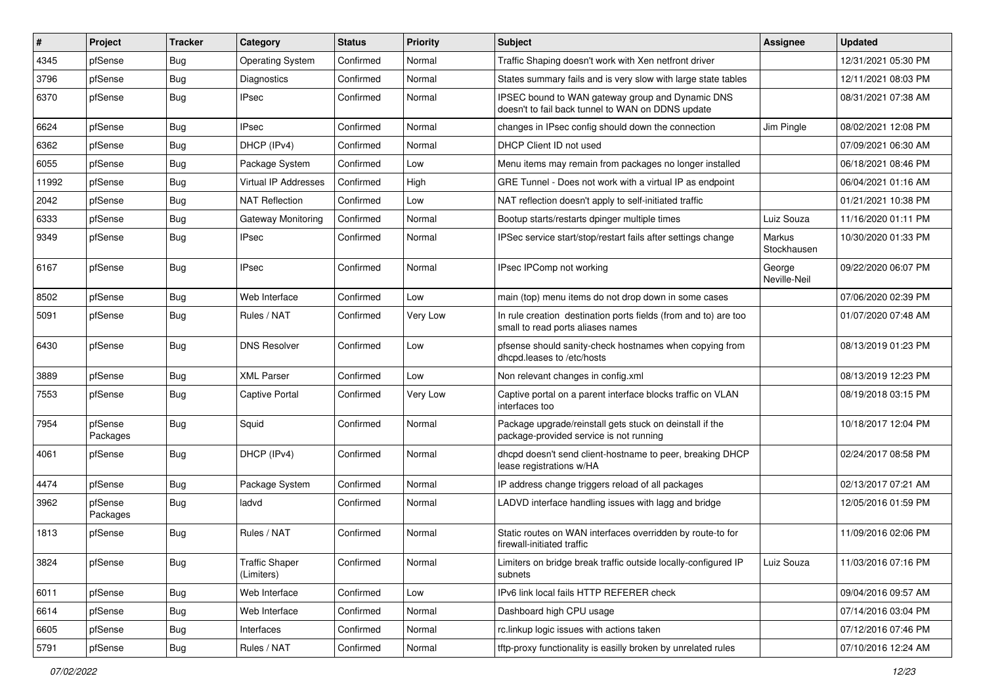| $\vert$ # | Project             | <b>Tracker</b> | Category                            | <b>Status</b> | <b>Priority</b> | Subject                                                                                               | <b>Assignee</b>        | <b>Updated</b>      |
|-----------|---------------------|----------------|-------------------------------------|---------------|-----------------|-------------------------------------------------------------------------------------------------------|------------------------|---------------------|
| 4345      | pfSense             | Bug            | <b>Operating System</b>             | Confirmed     | Normal          | Traffic Shaping doesn't work with Xen netfront driver                                                 |                        | 12/31/2021 05:30 PM |
| 3796      | pfSense             | Bug            | Diagnostics                         | Confirmed     | Normal          | States summary fails and is very slow with large state tables                                         |                        | 12/11/2021 08:03 PM |
| 6370      | pfSense             | Bug            | <b>IPsec</b>                        | Confirmed     | Normal          | IPSEC bound to WAN gateway group and Dynamic DNS<br>doesn't to fail back tunnel to WAN on DDNS update |                        | 08/31/2021 07:38 AM |
| 6624      | pfSense             | <b>Bug</b>     | <b>IPsec</b>                        | Confirmed     | Normal          | changes in IPsec config should down the connection                                                    | Jim Pingle             | 08/02/2021 12:08 PM |
| 6362      | pfSense             | Bug            | DHCP (IPv4)                         | Confirmed     | Normal          | DHCP Client ID not used                                                                               |                        | 07/09/2021 06:30 AM |
| 6055      | pfSense             | Bug            | Package System                      | Confirmed     | Low             | Menu items may remain from packages no longer installed                                               |                        | 06/18/2021 08:46 PM |
| 11992     | pfSense             | Bug            | Virtual IP Addresses                | Confirmed     | High            | GRE Tunnel - Does not work with a virtual IP as endpoint                                              |                        | 06/04/2021 01:16 AM |
| 2042      | pfSense             | Bug            | <b>NAT Reflection</b>               | Confirmed     | Low             | NAT reflection doesn't apply to self-initiated traffic                                                |                        | 01/21/2021 10:38 PM |
| 6333      | pfSense             | <b>Bug</b>     | <b>Gateway Monitoring</b>           | Confirmed     | Normal          | Bootup starts/restarts dpinger multiple times                                                         | Luiz Souza             | 11/16/2020 01:11 PM |
| 9349      | pfSense             | Bug            | <b>IPsec</b>                        | Confirmed     | Normal          | IPSec service start/stop/restart fails after settings change                                          | Markus<br>Stockhausen  | 10/30/2020 01:33 PM |
| 6167      | pfSense             | Bug            | <b>IPsec</b>                        | Confirmed     | Normal          | IPsec IPComp not working                                                                              | George<br>Neville-Neil | 09/22/2020 06:07 PM |
| 8502      | pfSense             | Bug            | Web Interface                       | Confirmed     | Low             | main (top) menu items do not drop down in some cases                                                  |                        | 07/06/2020 02:39 PM |
| 5091      | pfSense             | Bug            | Rules / NAT                         | Confirmed     | Very Low        | In rule creation destination ports fields (from and to) are too<br>small to read ports aliases names  |                        | 01/07/2020 07:48 AM |
| 6430      | pfSense             | Bug            | <b>DNS Resolver</b>                 | Confirmed     | Low             | pfsense should sanity-check hostnames when copying from<br>dhcpd.leases to /etc/hosts                 |                        | 08/13/2019 01:23 PM |
| 3889      | pfSense             | Bug            | <b>XML Parser</b>                   | Confirmed     | Low             | Non relevant changes in config.xml                                                                    |                        | 08/13/2019 12:23 PM |
| 7553      | pfSense             | Bug            | <b>Captive Portal</b>               | Confirmed     | Very Low        | Captive portal on a parent interface blocks traffic on VLAN<br>interfaces too                         |                        | 08/19/2018 03:15 PM |
| 7954      | pfSense<br>Packages | Bug            | Squid                               | Confirmed     | Normal          | Package upgrade/reinstall gets stuck on deinstall if the<br>package-provided service is not running   |                        | 10/18/2017 12:04 PM |
| 4061      | pfSense             | Bug            | DHCP (IPv4)                         | Confirmed     | Normal          | dhcpd doesn't send client-hostname to peer, breaking DHCP<br>lease registrations w/HA                 |                        | 02/24/2017 08:58 PM |
| 4474      | pfSense             | Bug            | Package System                      | Confirmed     | Normal          | IP address change triggers reload of all packages                                                     |                        | 02/13/2017 07:21 AM |
| 3962      | pfSense<br>Packages | Bug            | ladvd                               | Confirmed     | Normal          | LADVD interface handling issues with lagg and bridge                                                  |                        | 12/05/2016 01:59 PM |
| 1813      | pfSense             | Bug            | Rules / NAT                         | Confirmed     | Normal          | Static routes on WAN interfaces overridden by route-to for<br>firewall-initiated traffic              |                        | 11/09/2016 02:06 PM |
| 3824      | pfSense             | Bug            | <b>Traffic Shaper</b><br>(Limiters) | Confirmed     | Normal          | Limiters on bridge break traffic outside locally-configured IP<br>subnets                             | Luiz Souza             | 11/03/2016 07:16 PM |
| 6011      | pfSense             | <b>Bug</b>     | Web Interface                       | Confirmed     | Low             | IPv6 link local fails HTTP REFERER check                                                              |                        | 09/04/2016 09:57 AM |
| 6614      | pfSense             | Bug            | Web Interface                       | Confirmed     | Normal          | Dashboard high CPU usage                                                                              |                        | 07/14/2016 03:04 PM |
| 6605      | pfSense             | <b>Bug</b>     | Interfaces                          | Confirmed     | Normal          | rc.linkup logic issues with actions taken                                                             |                        | 07/12/2016 07:46 PM |
| 5791      | pfSense             | Bug            | Rules / NAT                         | Confirmed     | Normal          | tftp-proxy functionality is easilly broken by unrelated rules                                         |                        | 07/10/2016 12:24 AM |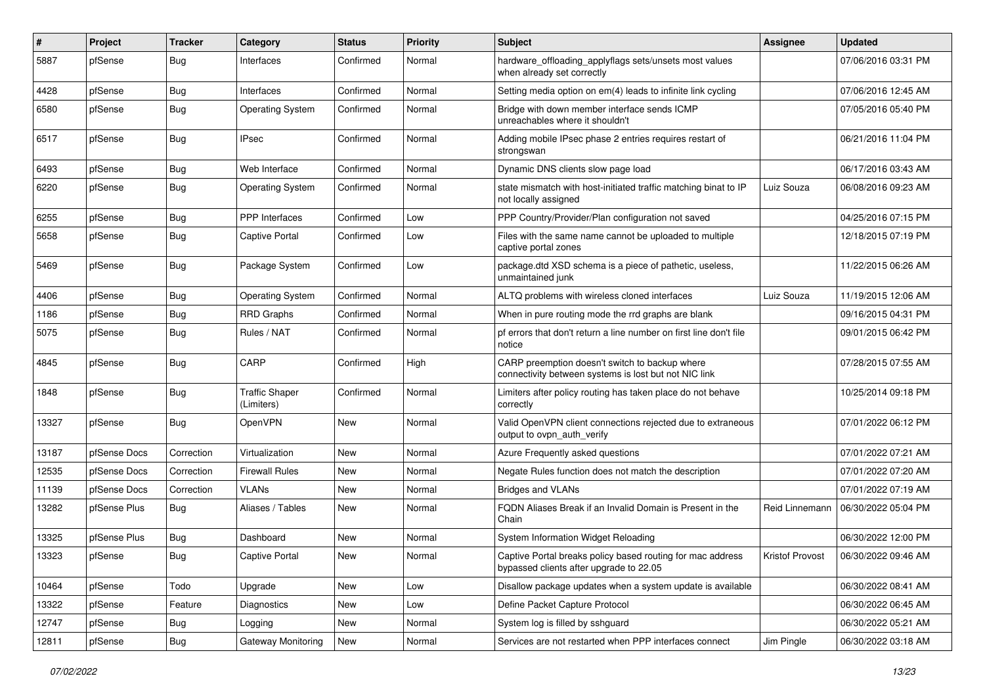| #     | Project      | <b>Tracker</b> | Category                            | <b>Status</b> | <b>Priority</b> | <b>Subject</b>                                                                                          | <b>Assignee</b> | <b>Updated</b>      |
|-------|--------------|----------------|-------------------------------------|---------------|-----------------|---------------------------------------------------------------------------------------------------------|-----------------|---------------------|
| 5887  | pfSense      | Bug            | Interfaces                          | Confirmed     | Normal          | hardware_offloading_applyflags sets/unsets most values<br>when already set correctly                    |                 | 07/06/2016 03:31 PM |
| 4428  | pfSense      | Bug            | Interfaces                          | Confirmed     | Normal          | Setting media option on em(4) leads to infinite link cycling                                            |                 | 07/06/2016 12:45 AM |
| 6580  | pfSense      | Bug            | <b>Operating System</b>             | Confirmed     | Normal          | Bridge with down member interface sends ICMP<br>unreachables where it shouldn't                         |                 | 07/05/2016 05:40 PM |
| 6517  | pfSense      | Bug            | <b>IPsec</b>                        | Confirmed     | Normal          | Adding mobile IPsec phase 2 entries requires restart of<br>strongswan                                   |                 | 06/21/2016 11:04 PM |
| 6493  | pfSense      | Bug            | Web Interface                       | Confirmed     | Normal          | Dynamic DNS clients slow page load                                                                      |                 | 06/17/2016 03:43 AM |
| 6220  | pfSense      | Bug            | <b>Operating System</b>             | Confirmed     | Normal          | state mismatch with host-initiated traffic matching binat to IP<br>not locally assigned                 | Luiz Souza      | 06/08/2016 09:23 AM |
| 6255  | pfSense      | Bug            | PPP Interfaces                      | Confirmed     | Low             | PPP Country/Provider/Plan configuration not saved                                                       |                 | 04/25/2016 07:15 PM |
| 5658  | pfSense      | Bug            | <b>Captive Portal</b>               | Confirmed     | Low             | Files with the same name cannot be uploaded to multiple<br>captive portal zones                         |                 | 12/18/2015 07:19 PM |
| 5469  | pfSense      | Bug            | Package System                      | Confirmed     | Low             | package.dtd XSD schema is a piece of pathetic, useless,<br>unmaintained junk                            |                 | 11/22/2015 06:26 AM |
| 4406  | pfSense      | <b>Bug</b>     | <b>Operating System</b>             | Confirmed     | Normal          | ALTQ problems with wireless cloned interfaces                                                           | Luiz Souza      | 11/19/2015 12:06 AM |
| 1186  | pfSense      | Bug            | <b>RRD Graphs</b>                   | Confirmed     | Normal          | When in pure routing mode the rrd graphs are blank                                                      |                 | 09/16/2015 04:31 PM |
| 5075  | pfSense      | <b>Bug</b>     | Rules / NAT                         | Confirmed     | Normal          | pf errors that don't return a line number on first line don't file<br>notice                            |                 | 09/01/2015 06:42 PM |
| 4845  | pfSense      | Bug            | CARP                                | Confirmed     | High            | CARP preemption doesn't switch to backup where<br>connectivity between systems is lost but not NIC link |                 | 07/28/2015 07:55 AM |
| 1848  | pfSense      | Bug            | <b>Traffic Shaper</b><br>(Limiters) | Confirmed     | Normal          | Limiters after policy routing has taken place do not behave<br>correctly                                |                 | 10/25/2014 09:18 PM |
| 13327 | pfSense      | Bug            | <b>OpenVPN</b>                      | <b>New</b>    | Normal          | Valid OpenVPN client connections rejected due to extraneous<br>output to ovpn auth verify               |                 | 07/01/2022 06:12 PM |
| 13187 | pfSense Docs | Correction     | Virtualization                      | <b>New</b>    | Normal          | Azure Frequently asked questions                                                                        |                 | 07/01/2022 07:21 AM |
| 12535 | pfSense Docs | Correction     | <b>Firewall Rules</b>               | <b>New</b>    | Normal          | Negate Rules function does not match the description                                                    |                 | 07/01/2022 07:20 AM |
| 11139 | pfSense Docs | Correction     | <b>VLANs</b>                        | New           | Normal          | <b>Bridges and VLANs</b>                                                                                |                 | 07/01/2022 07:19 AM |
| 13282 | pfSense Plus | Bug            | Aliases / Tables                    | New           | Normal          | FQDN Aliases Break if an Invalid Domain is Present in the<br>Chain                                      | Reid Linnemann  | 06/30/2022 05:04 PM |
| 13325 | pfSense Plus | Bug            | Dashboard                           | <b>New</b>    | Normal          | System Information Widget Reloading                                                                     |                 | 06/30/2022 12:00 PM |
| 13323 | pfSense      | Bug            | Captive Portal                      | New           | Normal          | Captive Portal breaks policy based routing for mac address<br>bypassed clients after upgrade to 22.05   | Kristof Provost | 06/30/2022 09:46 AM |
| 10464 | pfSense      | Todo           | Upgrade                             | New           | Low             | Disallow package updates when a system update is available                                              |                 | 06/30/2022 08:41 AM |
| 13322 | pfSense      | Feature        | Diagnostics                         | New           | Low             | Define Packet Capture Protocol                                                                          |                 | 06/30/2022 06:45 AM |
| 12747 | pfSense      | <b>Bug</b>     | Logging                             | New           | Normal          | System log is filled by sshquard                                                                        |                 | 06/30/2022 05:21 AM |
| 12811 | pfSense      | Bug            | Gateway Monitoring                  | New           | Normal          | Services are not restarted when PPP interfaces connect                                                  | Jim Pingle      | 06/30/2022 03:18 AM |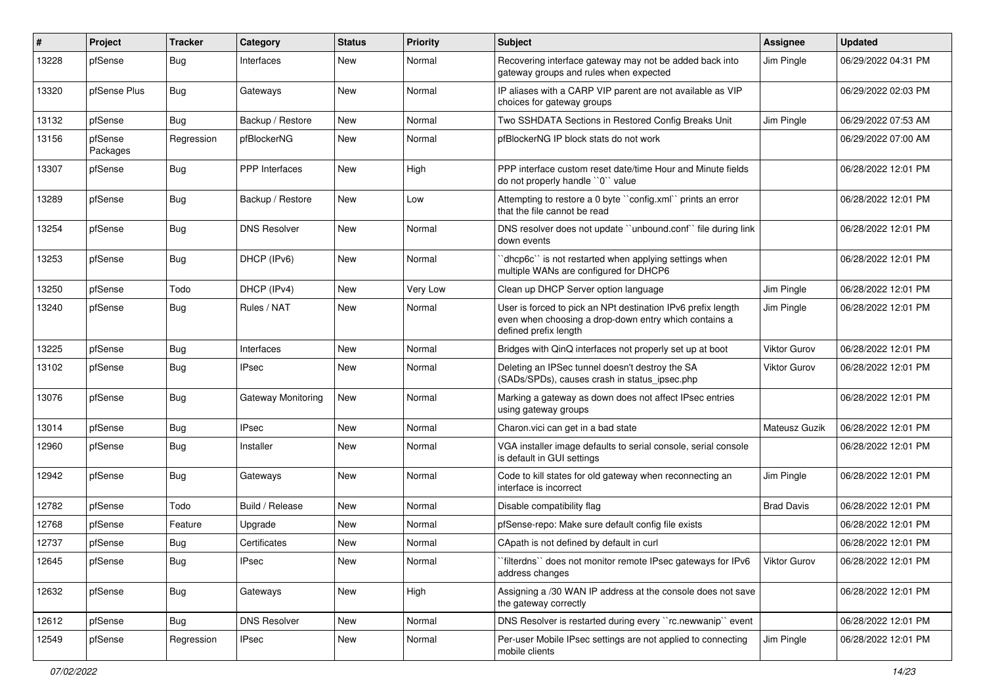| #     | Project             | <b>Tracker</b> | Category              | <b>Status</b> | <b>Priority</b> | <b>Subject</b>                                                                                                                                 | <b>Assignee</b>     | <b>Updated</b>      |
|-------|---------------------|----------------|-----------------------|---------------|-----------------|------------------------------------------------------------------------------------------------------------------------------------------------|---------------------|---------------------|
| 13228 | pfSense             | <b>Bug</b>     | Interfaces            | <b>New</b>    | Normal          | Recovering interface gateway may not be added back into<br>gateway groups and rules when expected                                              | Jim Pingle          | 06/29/2022 04:31 PM |
| 13320 | pfSense Plus        | <b>Bug</b>     | Gateways              | <b>New</b>    | Normal          | IP aliases with a CARP VIP parent are not available as VIP<br>choices for gateway groups                                                       |                     | 06/29/2022 02:03 PM |
| 13132 | pfSense             | Bug            | Backup / Restore      | <b>New</b>    | Normal          | Two SSHDATA Sections in Restored Config Breaks Unit                                                                                            | Jim Pingle          | 06/29/2022 07:53 AM |
| 13156 | pfSense<br>Packages | Regression     | pfBlockerNG           | New           | Normal          | pfBlockerNG IP block stats do not work                                                                                                         |                     | 06/29/2022 07:00 AM |
| 13307 | pfSense             | Bug            | <b>PPP</b> Interfaces | <b>New</b>    | High            | PPP interface custom reset date/time Hour and Minute fields<br>do not properly handle "0" value                                                |                     | 06/28/2022 12:01 PM |
| 13289 | pfSense             | <b>Bug</b>     | Backup / Restore      | <b>New</b>    | Low             | Attempting to restore a 0 byte "config.xml" prints an error<br>that the file cannot be read                                                    |                     | 06/28/2022 12:01 PM |
| 13254 | pfSense             | <b>Bug</b>     | <b>DNS Resolver</b>   | <b>New</b>    | Normal          | DNS resolver does not update "unbound.conf" file during link<br>down events                                                                    |                     | 06/28/2022 12:01 PM |
| 13253 | pfSense             | Bug            | DHCP (IPv6)           | <b>New</b>    | Normal          | 'dhcp6c'' is not restarted when applying settings when<br>multiple WANs are configured for DHCP6                                               |                     | 06/28/2022 12:01 PM |
| 13250 | pfSense             | Todo           | DHCP (IPv4)           | <b>New</b>    | Very Low        | Clean up DHCP Server option language                                                                                                           | Jim Pingle          | 06/28/2022 12:01 PM |
| 13240 | pfSense             | Bug            | Rules / NAT           | New           | Normal          | User is forced to pick an NPt destination IPv6 prefix length<br>even when choosing a drop-down entry which contains a<br>defined prefix length | Jim Pingle          | 06/28/2022 12:01 PM |
| 13225 | pfSense             | Bug            | Interfaces            | New           | Normal          | Bridges with QinQ interfaces not properly set up at boot                                                                                       | <b>Viktor Gurov</b> | 06/28/2022 12:01 PM |
| 13102 | pfSense             | <b>Bug</b>     | <b>IPsec</b>          | New           | Normal          | Deleting an IPSec tunnel doesn't destroy the SA<br>(SADs/SPDs), causes crash in status_ipsec.php                                               | Viktor Gurov        | 06/28/2022 12:01 PM |
| 13076 | pfSense             | <b>Bug</b>     | Gateway Monitoring    | <b>New</b>    | Normal          | Marking a gateway as down does not affect IPsec entries<br>using gateway groups                                                                |                     | 06/28/2022 12:01 PM |
| 13014 | pfSense             | <b>Bug</b>     | <b>IPsec</b>          | <b>New</b>    | Normal          | Charon.vici can get in a bad state                                                                                                             | Mateusz Guzik       | 06/28/2022 12:01 PM |
| 12960 | pfSense             | <b>Bug</b>     | Installer             | New           | Normal          | VGA installer image defaults to serial console, serial console<br>is default in GUI settings                                                   |                     | 06/28/2022 12:01 PM |
| 12942 | pfSense             | <b>Bug</b>     | Gateways              | <b>New</b>    | Normal          | Code to kill states for old gateway when reconnecting an<br>interface is incorrect                                                             | Jim Pingle          | 06/28/2022 12:01 PM |
| 12782 | pfSense             | Todo           | Build / Release       | <b>New</b>    | Normal          | Disable compatibility flag                                                                                                                     | <b>Brad Davis</b>   | 06/28/2022 12:01 PM |
| 12768 | pfSense             | Feature        | Upgrade               | New           | Normal          | pfSense-repo: Make sure default config file exists                                                                                             |                     | 06/28/2022 12:01 PM |
| 12737 | pfSense             | <b>Bug</b>     | Certificates          | <b>New</b>    | Normal          | CApath is not defined by default in curl                                                                                                       |                     | 06/28/2022 12:01 PM |
| 12645 | pfSense             | <b>Bug</b>     | <b>IPsec</b>          | New           | Normal          | filterdns" does not monitor remote IPsec gateways for IPv6<br>address changes                                                                  | Viktor Gurov        | 06/28/2022 12:01 PM |
| 12632 | pfSense             | <b>Bug</b>     | Gateways              | New           | High            | Assigning a /30 WAN IP address at the console does not save<br>the gateway correctly                                                           |                     | 06/28/2022 12:01 PM |
| 12612 | pfSense             | <b>Bug</b>     | <b>DNS Resolver</b>   | New           | Normal          | DNS Resolver is restarted during every "rc.newwanip" event                                                                                     |                     | 06/28/2022 12:01 PM |
| 12549 | pfSense             | Regression     | <b>IPsec</b>          | New           | Normal          | Per-user Mobile IPsec settings are not applied to connecting<br>mobile clients                                                                 | Jim Pingle          | 06/28/2022 12:01 PM |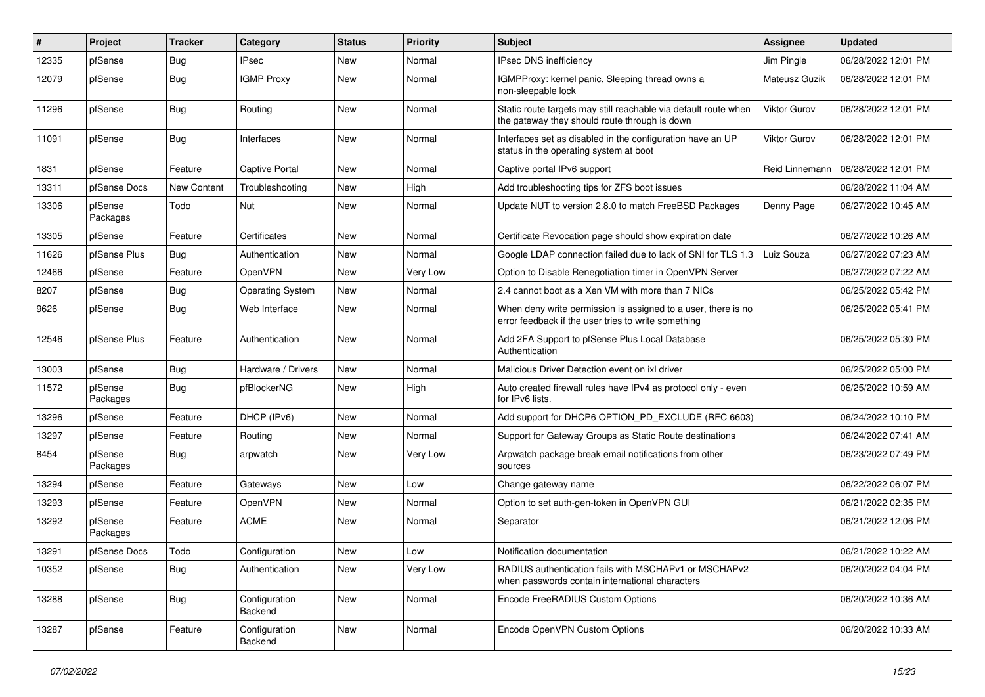| #     | Project             | Tracker     | Category                 | <b>Status</b> | <b>Priority</b> | Subject                                                                                                              | <b>Assignee</b>     | <b>Updated</b>      |
|-------|---------------------|-------------|--------------------------|---------------|-----------------|----------------------------------------------------------------------------------------------------------------------|---------------------|---------------------|
| 12335 | pfSense             | Bug         | <b>IPsec</b>             | New           | Normal          | IPsec DNS inefficiency                                                                                               | Jim Pingle          | 06/28/2022 12:01 PM |
| 12079 | pfSense             | <b>Bug</b>  | <b>IGMP Proxy</b>        | New           | Normal          | IGMPProxy: kernel panic, Sleeping thread owns a<br>non-sleepable lock                                                | Mateusz Guzik       | 06/28/2022 12:01 PM |
| 11296 | pfSense             | <b>Bug</b>  | Routing                  | New           | Normal          | Static route targets may still reachable via default route when<br>the gateway they should route through is down     | <b>Viktor Gurov</b> | 06/28/2022 12:01 PM |
| 11091 | pfSense             | <b>Bug</b>  | Interfaces               | New           | Normal          | Interfaces set as disabled in the configuration have an UP<br>status in the operating system at boot                 | <b>Viktor Gurov</b> | 06/28/2022 12:01 PM |
| 1831  | pfSense             | Feature     | <b>Captive Portal</b>    | New           | Normal          | Captive portal IPv6 support                                                                                          | Reid Linnemann      | 06/28/2022 12:01 PM |
| 13311 | pfSense Docs        | New Content | Troubleshooting          | New           | High            | Add troubleshooting tips for ZFS boot issues                                                                         |                     | 06/28/2022 11:04 AM |
| 13306 | pfSense<br>Packages | Todo        | Nut                      | New           | Normal          | Update NUT to version 2.8.0 to match FreeBSD Packages                                                                | Denny Page          | 06/27/2022 10:45 AM |
| 13305 | pfSense             | Feature     | Certificates             | New           | Normal          | Certificate Revocation page should show expiration date                                                              |                     | 06/27/2022 10:26 AM |
| 11626 | pfSense Plus        | Bug         | Authentication           | New           | Normal          | Google LDAP connection failed due to lack of SNI for TLS 1.3                                                         | Luiz Souza          | 06/27/2022 07:23 AM |
| 12466 | pfSense             | Feature     | OpenVPN                  | New           | Very Low        | Option to Disable Renegotiation timer in OpenVPN Server                                                              |                     | 06/27/2022 07:22 AM |
| 8207  | pfSense             | <b>Bug</b>  | <b>Operating System</b>  | New           | Normal          | 2.4 cannot boot as a Xen VM with more than 7 NICs                                                                    |                     | 06/25/2022 05:42 PM |
| 9626  | pfSense             | Bug         | Web Interface            | New           | Normal          | When deny write permission is assigned to a user, there is no<br>error feedback if the user tries to write something |                     | 06/25/2022 05:41 PM |
| 12546 | pfSense Plus        | Feature     | Authentication           | New           | Normal          | Add 2FA Support to pfSense Plus Local Database<br>Authentication                                                     |                     | 06/25/2022 05:30 PM |
| 13003 | pfSense             | <b>Bug</b>  | Hardware / Drivers       | <b>New</b>    | Normal          | Malicious Driver Detection event on ixl driver                                                                       |                     | 06/25/2022 05:00 PM |
| 11572 | pfSense<br>Packages | <b>Bug</b>  | pfBlockerNG              | New           | High            | Auto created firewall rules have IPv4 as protocol only - even<br>for IPv6 lists.                                     |                     | 06/25/2022 10:59 AM |
| 13296 | pfSense             | Feature     | DHCP (IPv6)              | New           | Normal          | Add support for DHCP6 OPTION PD EXCLUDE (RFC 6603)                                                                   |                     | 06/24/2022 10:10 PM |
| 13297 | pfSense             | Feature     | Routing                  | <b>New</b>    | Normal          | Support for Gateway Groups as Static Route destinations                                                              |                     | 06/24/2022 07:41 AM |
| 8454  | pfSense<br>Packages | <b>Bug</b>  | arpwatch                 | New           | Very Low        | Arpwatch package break email notifications from other<br>sources                                                     |                     | 06/23/2022 07:49 PM |
| 13294 | pfSense             | Feature     | Gateways                 | New           | Low             | Change gateway name                                                                                                  |                     | 06/22/2022 06:07 PM |
| 13293 | pfSense             | Feature     | OpenVPN                  | New           | Normal          | Option to set auth-gen-token in OpenVPN GUI                                                                          |                     | 06/21/2022 02:35 PM |
| 13292 | pfSense<br>Packages | Feature     | <b>ACME</b>              | New           | Normal          | Separator                                                                                                            |                     | 06/21/2022 12:06 PM |
| 13291 | pfSense Docs        | Todo        | Configuration            | New           | Low             | Notification documentation                                                                                           |                     | 06/21/2022 10:22 AM |
| 10352 | pfSense             | <b>Bug</b>  | Authentication           | New           | Very Low        | RADIUS authentication fails with MSCHAPv1 or MSCHAPv2<br>when passwords contain international characters             |                     | 06/20/2022 04:04 PM |
| 13288 | pfSense             | <b>Bug</b>  | Configuration<br>Backend | New           | Normal          | Encode FreeRADIUS Custom Options                                                                                     |                     | 06/20/2022 10:36 AM |
| 13287 | pfSense             | Feature     | Configuration<br>Backend | New           | Normal          | Encode OpenVPN Custom Options                                                                                        |                     | 06/20/2022 10:33 AM |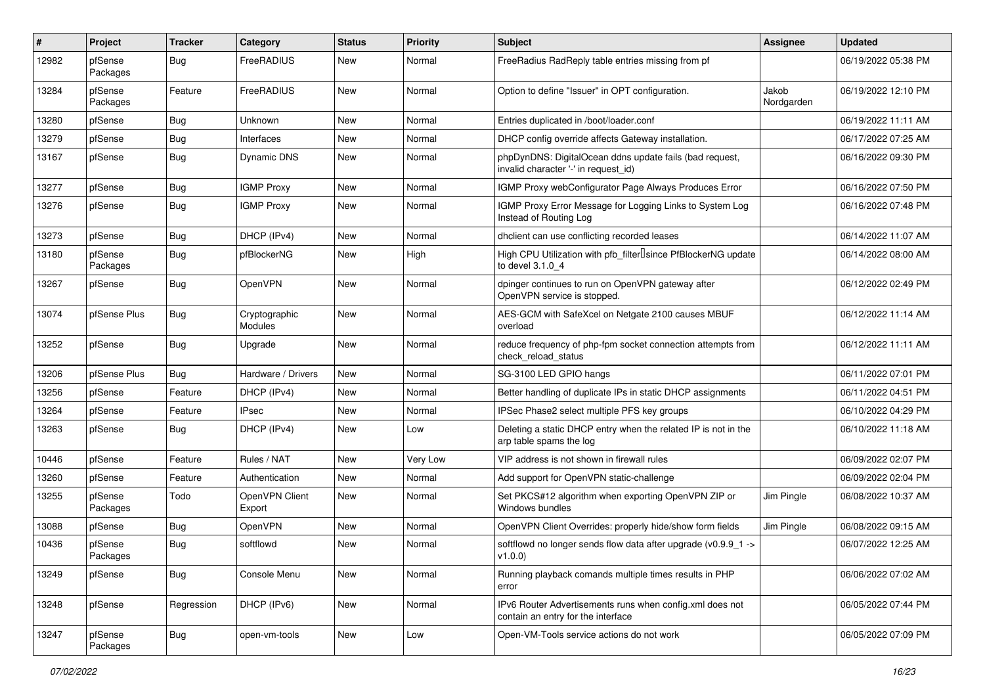| ∦     | <b>Project</b>      | <b>Tracker</b> | Category                        | <b>Status</b> | <b>Priority</b> | <b>Subject</b>                                                                                  | Assignee            | <b>Updated</b>      |
|-------|---------------------|----------------|---------------------------------|---------------|-----------------|-------------------------------------------------------------------------------------------------|---------------------|---------------------|
| 12982 | pfSense<br>Packages | Bug            | FreeRADIUS                      | New           | Normal          | FreeRadius RadReply table entries missing from pf                                               |                     | 06/19/2022 05:38 PM |
| 13284 | pfSense<br>Packages | Feature        | FreeRADIUS                      | New           | Normal          | Option to define "Issuer" in OPT configuration.                                                 | Jakob<br>Nordgarden | 06/19/2022 12:10 PM |
| 13280 | pfSense             | <b>Bug</b>     | Unknown                         | New           | Normal          | Entries duplicated in /boot/loader.conf                                                         |                     | 06/19/2022 11:11 AM |
| 13279 | pfSense             | <b>Bug</b>     | Interfaces                      | New           | Normal          | DHCP config override affects Gateway installation.                                              |                     | 06/17/2022 07:25 AM |
| 13167 | pfSense             | Bug            | Dynamic DNS                     | New           | Normal          | phpDynDNS: DigitalOcean ddns update fails (bad request,<br>invalid character '-' in request_id) |                     | 06/16/2022 09:30 PM |
| 13277 | pfSense             | Bug            | <b>IGMP Proxy</b>               | New           | Normal          | IGMP Proxy webConfigurator Page Always Produces Error                                           |                     | 06/16/2022 07:50 PM |
| 13276 | pfSense             | <b>Bug</b>     | <b>IGMP Proxy</b>               | New           | Normal          | IGMP Proxy Error Message for Logging Links to System Log<br>Instead of Routing Log              |                     | 06/16/2022 07:48 PM |
| 13273 | pfSense             | <b>Bug</b>     | DHCP (IPv4)                     | New           | Normal          | dhclient can use conflicting recorded leases                                                    |                     | 06/14/2022 11:07 AM |
| 13180 | pfSense<br>Packages | <b>Bug</b>     | pfBlockerNG                     | New           | High            | High CPU Utilization with pfb_filter <sup>[]</sup> since PfBlockerNG update<br>to devel 3.1.0_4 |                     | 06/14/2022 08:00 AM |
| 13267 | pfSense             | Bug            | OpenVPN                         | New           | Normal          | dpinger continues to run on OpenVPN gateway after<br>OpenVPN service is stopped.                |                     | 06/12/2022 02:49 PM |
| 13074 | pfSense Plus        | Bug            | Cryptographic<br><b>Modules</b> | New           | Normal          | AES-GCM with SafeXcel on Netgate 2100 causes MBUF<br>overload                                   |                     | 06/12/2022 11:14 AM |
| 13252 | pfSense             | <b>Bug</b>     | Upgrade                         | New           | Normal          | reduce frequency of php-fpm socket connection attempts from<br>check reload status              |                     | 06/12/2022 11:11 AM |
| 13206 | pfSense Plus        | <b>Bug</b>     | Hardware / Drivers              | <b>New</b>    | Normal          | SG-3100 LED GPIO hangs                                                                          |                     | 06/11/2022 07:01 PM |
| 13256 | pfSense             | Feature        | DHCP (IPv4)                     | New           | Normal          | Better handling of duplicate IPs in static DHCP assignments                                     |                     | 06/11/2022 04:51 PM |
| 13264 | pfSense             | Feature        | <b>IPsec</b>                    | New           | Normal          | IPSec Phase2 select multiple PFS key groups                                                     |                     | 06/10/2022 04:29 PM |
| 13263 | pfSense             | Bug            | DHCP (IPv4)                     | New           | Low             | Deleting a static DHCP entry when the related IP is not in the<br>arp table spams the log       |                     | 06/10/2022 11:18 AM |
| 10446 | pfSense             | Feature        | Rules / NAT                     | New           | Very Low        | VIP address is not shown in firewall rules                                                      |                     | 06/09/2022 02:07 PM |
| 13260 | pfSense             | Feature        | Authentication                  | New           | Normal          | Add support for OpenVPN static-challenge                                                        |                     | 06/09/2022 02:04 PM |
| 13255 | pfSense<br>Packages | Todo           | OpenVPN Client<br>Export        | New           | Normal          | Set PKCS#12 algorithm when exporting OpenVPN ZIP or<br>Windows bundles                          | Jim Pingle          | 06/08/2022 10:37 AM |
| 13088 | pfSense             | Bug            | OpenVPN                         | New           | Normal          | OpenVPN Client Overrides: properly hide/show form fields                                        | Jim Pingle          | 06/08/2022 09:15 AM |
| 10436 | pfSense<br>Packages | Bug            | softflowd                       | New           | Normal          | softflowd no longer sends flow data after upgrade (v0.9.9_1 -><br>v1.0.0)                       |                     | 06/07/2022 12:25 AM |
| 13249 | pfSense             | Bug            | Console Menu                    | New           | Normal          | Running playback comands multiple times results in PHP<br>error                                 |                     | 06/06/2022 07:02 AM |
| 13248 | pfSense             | Regression     | DHCP (IPv6)                     | New           | Normal          | IPv6 Router Advertisements runs when config.xml does not<br>contain an entry for the interface  |                     | 06/05/2022 07:44 PM |
| 13247 | pfSense<br>Packages | <b>Bug</b>     | open-vm-tools                   | New           | Low             | Open-VM-Tools service actions do not work                                                       |                     | 06/05/2022 07:09 PM |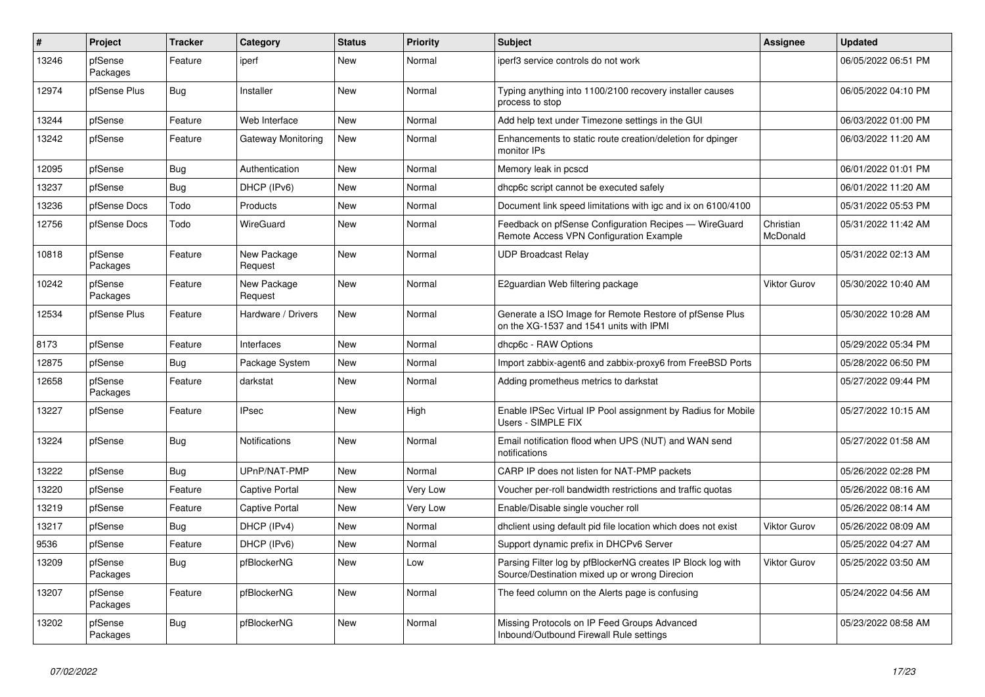| $\vert$ # | <b>Project</b>      | <b>Tracker</b> | Category               | <b>Status</b> | <b>Priority</b> | <b>Subject</b>                                                                                               | Assignee              | <b>Updated</b>      |
|-----------|---------------------|----------------|------------------------|---------------|-----------------|--------------------------------------------------------------------------------------------------------------|-----------------------|---------------------|
| 13246     | pfSense<br>Packages | Feature        | iperf                  | New           | Normal          | iperf3 service controls do not work                                                                          |                       | 06/05/2022 06:51 PM |
| 12974     | pfSense Plus        | Bug            | Installer              | New           | Normal          | Typing anything into 1100/2100 recovery installer causes<br>process to stop                                  |                       | 06/05/2022 04:10 PM |
| 13244     | pfSense             | Feature        | Web Interface          | <b>New</b>    | Normal          | Add help text under Timezone settings in the GUI                                                             |                       | 06/03/2022 01:00 PM |
| 13242     | pfSense             | Feature        | Gateway Monitoring     | <b>New</b>    | Normal          | Enhancements to static route creation/deletion for dpinger<br>monitor IPs                                    |                       | 06/03/2022 11:20 AM |
| 12095     | pfSense             | <b>Bug</b>     | Authentication         | New           | Normal          | Memory leak in pcscd                                                                                         |                       | 06/01/2022 01:01 PM |
| 13237     | pfSense             | <b>Bug</b>     | DHCP (IPv6)            | New           | Normal          | dhcp6c script cannot be executed safely                                                                      |                       | 06/01/2022 11:20 AM |
| 13236     | pfSense Docs        | Todo           | Products               | <b>New</b>    | Normal          | Document link speed limitations with igc and ix on 6100/4100                                                 |                       | 05/31/2022 05:53 PM |
| 12756     | pfSense Docs        | Todo           | WireGuard              | New           | Normal          | Feedback on pfSense Configuration Recipes - WireGuard<br>Remote Access VPN Configuration Example             | Christian<br>McDonald | 05/31/2022 11:42 AM |
| 10818     | pfSense<br>Packages | Feature        | New Package<br>Request | New           | Normal          | UDP Broadcast Relay                                                                                          |                       | 05/31/2022 02:13 AM |
| 10242     | pfSense<br>Packages | Feature        | New Package<br>Request | <b>New</b>    | Normal          | E2guardian Web filtering package                                                                             | Viktor Gurov          | 05/30/2022 10:40 AM |
| 12534     | pfSense Plus        | Feature        | Hardware / Drivers     | <b>New</b>    | Normal          | Generate a ISO Image for Remote Restore of pfSense Plus<br>on the XG-1537 and 1541 units with IPMI           |                       | 05/30/2022 10:28 AM |
| 8173      | pfSense             | Feature        | Interfaces             | <b>New</b>    | Normal          | dhcp6c - RAW Options                                                                                         |                       | 05/29/2022 05:34 PM |
| 12875     | pfSense             | Bug            | Package System         | New           | Normal          | Import zabbix-agent6 and zabbix-proxy6 from FreeBSD Ports                                                    |                       | 05/28/2022 06:50 PM |
| 12658     | pfSense<br>Packages | Feature        | darkstat               | New           | Normal          | Adding prometheus metrics to darkstat                                                                        |                       | 05/27/2022 09:44 PM |
| 13227     | pfSense             | Feature        | <b>IPsec</b>           | New           | High            | Enable IPSec Virtual IP Pool assignment by Radius for Mobile<br>Users - SIMPLE FIX                           |                       | 05/27/2022 10:15 AM |
| 13224     | pfSense             | <b>Bug</b>     | <b>Notifications</b>   | New           | Normal          | Email notification flood when UPS (NUT) and WAN send<br>notifications                                        |                       | 05/27/2022 01:58 AM |
| 13222     | pfSense             | <b>Bug</b>     | UPnP/NAT-PMP           | New           | Normal          | CARP IP does not listen for NAT-PMP packets                                                                  |                       | 05/26/2022 02:28 PM |
| 13220     | pfSense             | Feature        | Captive Portal         | New           | Very Low        | Voucher per-roll bandwidth restrictions and traffic quotas                                                   |                       | 05/26/2022 08:16 AM |
| 13219     | pfSense             | Feature        | <b>Captive Portal</b>  | New           | Very Low        | Enable/Disable single voucher roll                                                                           |                       | 05/26/2022 08:14 AM |
| 13217     | pfSense             | <b>Bug</b>     | DHCP (IPv4)            | New           | Normal          | dhclient using default pid file location which does not exist                                                | Viktor Gurov          | 05/26/2022 08:09 AM |
| 9536      | pfSense             | Feature        | DHCP (IPv6)            | New           | Normal          | Support dynamic prefix in DHCPv6 Server                                                                      |                       | 05/25/2022 04:27 AM |
| 13209     | pfSense<br>Packages | Bug            | pfBlockerNG            | New           | Low             | Parsing Filter log by pfBlockerNG creates IP Block log with<br>Source/Destination mixed up or wrong Direcion | Viktor Gurov          | 05/25/2022 03:50 AM |
| 13207     | pfSense<br>Packages | Feature        | pfBlockerNG            | New           | Normal          | The feed column on the Alerts page is confusing                                                              |                       | 05/24/2022 04:56 AM |
| 13202     | pfSense<br>Packages | Bug            | pfBlockerNG            | <b>New</b>    | Normal          | Missing Protocols on IP Feed Groups Advanced<br>Inbound/Outbound Firewall Rule settings                      |                       | 05/23/2022 08:58 AM |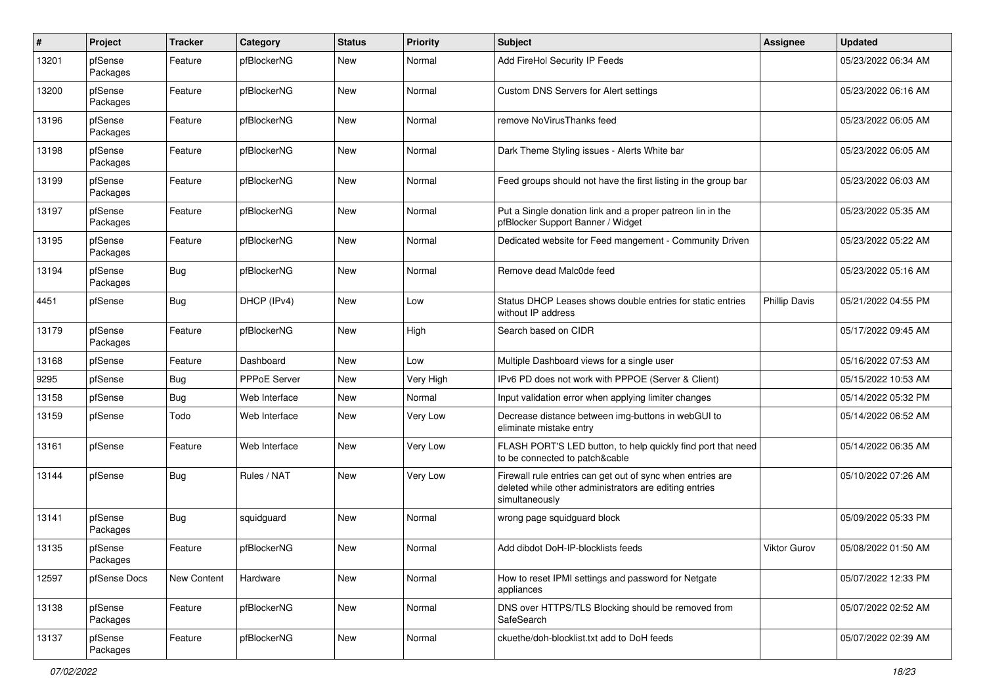| $\#$  | Project             | <b>Tracker</b> | Category      | <b>Status</b> | <b>Priority</b> | <b>Subject</b>                                                                                                                         | <b>Assignee</b> | <b>Updated</b>      |
|-------|---------------------|----------------|---------------|---------------|-----------------|----------------------------------------------------------------------------------------------------------------------------------------|-----------------|---------------------|
| 13201 | pfSense<br>Packages | Feature        | pfBlockerNG   | New           | Normal          | Add FireHol Security IP Feeds                                                                                                          |                 | 05/23/2022 06:34 AM |
| 13200 | pfSense<br>Packages | Feature        | pfBlockerNG   | New           | Normal          | Custom DNS Servers for Alert settings                                                                                                  |                 | 05/23/2022 06:16 AM |
| 13196 | pfSense<br>Packages | Feature        | pfBlockerNG   | New           | Normal          | remove NoVirusThanks feed                                                                                                              |                 | 05/23/2022 06:05 AM |
| 13198 | pfSense<br>Packages | Feature        | pfBlockerNG   | New           | Normal          | Dark Theme Styling issues - Alerts White bar                                                                                           |                 | 05/23/2022 06:05 AM |
| 13199 | pfSense<br>Packages | Feature        | pfBlockerNG   | New           | Normal          | Feed groups should not have the first listing in the group bar                                                                         |                 | 05/23/2022 06:03 AM |
| 13197 | pfSense<br>Packages | Feature        | pfBlockerNG   | New           | Normal          | Put a Single donation link and a proper patreon lin in the<br>pfBlocker Support Banner / Widget                                        |                 | 05/23/2022 05:35 AM |
| 13195 | pfSense<br>Packages | Feature        | pfBlockerNG   | New           | Normal          | Dedicated website for Feed mangement - Community Driven                                                                                |                 | 05/23/2022 05:22 AM |
| 13194 | pfSense<br>Packages | <b>Bug</b>     | pfBlockerNG   | New           | Normal          | Remove dead Malc0de feed                                                                                                               |                 | 05/23/2022 05:16 AM |
| 4451  | pfSense             | <b>Bug</b>     | DHCP (IPv4)   | New           | Low             | Status DHCP Leases shows double entries for static entries<br>without IP address                                                       | Phillip Davis   | 05/21/2022 04:55 PM |
| 13179 | pfSense<br>Packages | Feature        | pfBlockerNG   | New           | High            | Search based on CIDR                                                                                                                   |                 | 05/17/2022 09:45 AM |
| 13168 | pfSense             | Feature        | Dashboard     | New           | Low             | Multiple Dashboard views for a single user                                                                                             |                 | 05/16/2022 07:53 AM |
| 9295  | pfSense             | Bug            | PPPoE Server  | New           | Very High       | IPv6 PD does not work with PPPOE (Server & Client)                                                                                     |                 | 05/15/2022 10:53 AM |
| 13158 | pfSense             | Bug            | Web Interface | New           | Normal          | Input validation error when applying limiter changes                                                                                   |                 | 05/14/2022 05:32 PM |
| 13159 | pfSense             | Todo           | Web Interface | New           | Very Low        | Decrease distance between img-buttons in webGUI to<br>eliminate mistake entry                                                          |                 | 05/14/2022 06:52 AM |
| 13161 | pfSense             | Feature        | Web Interface | New           | Very Low        | FLASH PORT'S LED button, to help quickly find port that need<br>to be connected to patch&cable                                         |                 | 05/14/2022 06:35 AM |
| 13144 | pfSense             | <b>Bug</b>     | Rules / NAT   | New           | Very Low        | Firewall rule entries can get out of sync when entries are<br>deleted while other administrators are editing entries<br>simultaneously |                 | 05/10/2022 07:26 AM |
| 13141 | pfSense<br>Packages | <b>Bug</b>     | squidguard    | New           | Normal          | wrong page squidguard block                                                                                                            |                 | 05/09/2022 05:33 PM |
| 13135 | pfSense<br>Packages | Feature        | pfBlockerNG   | New           | Normal          | Add dibdot DoH-IP-blocklists feeds                                                                                                     | Viktor Gurov    | 05/08/2022 01:50 AM |
| 12597 | pfSense Docs        | New Content    | Hardware      | New           | Normal          | How to reset IPMI settings and password for Netgate<br>appliances                                                                      |                 | 05/07/2022 12:33 PM |
| 13138 | pfSense<br>Packages | Feature        | pfBlockerNG   | New           | Normal          | DNS over HTTPS/TLS Blocking should be removed from<br>SafeSearch                                                                       |                 | 05/07/2022 02:52 AM |
| 13137 | pfSense<br>Packages | Feature        | pfBlockerNG   | New           | Normal          | ckuethe/doh-blocklist.txt add to DoH feeds                                                                                             |                 | 05/07/2022 02:39 AM |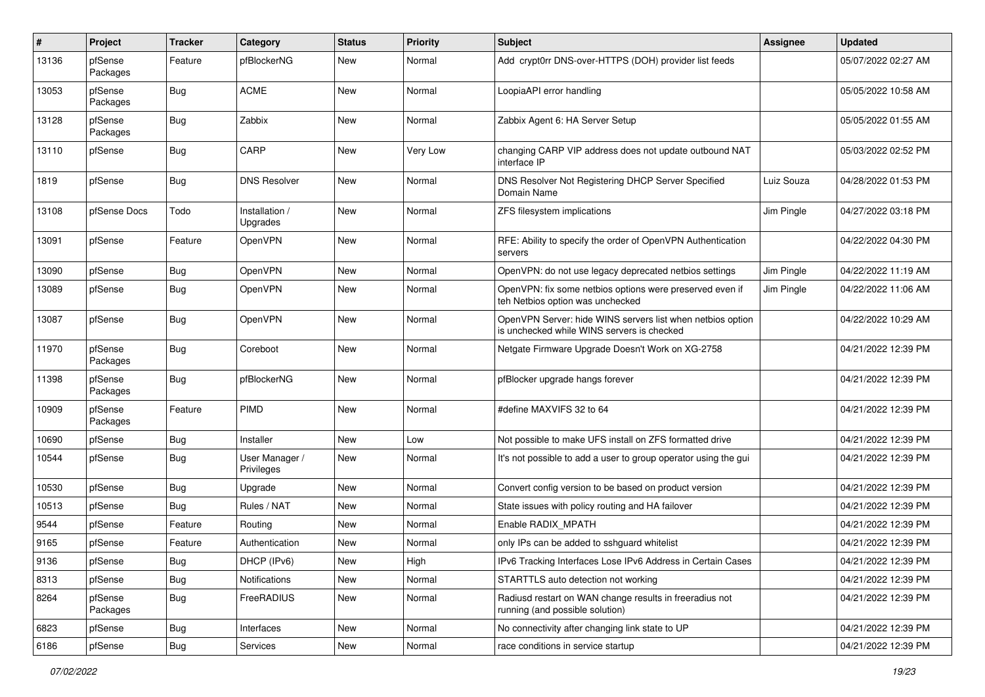| $\sharp$ | Project             | Tracker    | Category                     | <b>Status</b> | <b>Priority</b> | Subject                                                                                                  | <b>Assignee</b> | <b>Updated</b>      |
|----------|---------------------|------------|------------------------------|---------------|-----------------|----------------------------------------------------------------------------------------------------------|-----------------|---------------------|
| 13136    | pfSense<br>Packages | Feature    | pfBlockerNG                  | New           | Normal          | Add crypt0rr DNS-over-HTTPS (DOH) provider list feeds                                                    |                 | 05/07/2022 02:27 AM |
| 13053    | pfSense<br>Packages | Bug        | <b>ACME</b>                  | New           | Normal          | LoopiaAPI error handling                                                                                 |                 | 05/05/2022 10:58 AM |
| 13128    | pfSense<br>Packages | <b>Bug</b> | Zabbix                       | New           | Normal          | Zabbix Agent 6: HA Server Setup                                                                          |                 | 05/05/2022 01:55 AM |
| 13110    | pfSense             | <b>Bug</b> | CARP                         | New           | Very Low        | changing CARP VIP address does not update outbound NAT<br>interface IP                                   |                 | 05/03/2022 02:52 PM |
| 1819     | pfSense             | Bug        | <b>DNS Resolver</b>          | New           | Normal          | DNS Resolver Not Registering DHCP Server Specified<br>Domain Name                                        | Luiz Souza      | 04/28/2022 01:53 PM |
| 13108    | pfSense Docs        | Todo       | Installation /<br>Upgrades   | New           | Normal          | ZFS filesystem implications                                                                              | Jim Pingle      | 04/27/2022 03:18 PM |
| 13091    | pfSense             | Feature    | OpenVPN                      | New           | Normal          | RFE: Ability to specify the order of OpenVPN Authentication<br>servers                                   |                 | 04/22/2022 04:30 PM |
| 13090    | pfSense             | Bug        | OpenVPN                      | New           | Normal          | OpenVPN: do not use legacy deprecated netbios settings                                                   | Jim Pingle      | 04/22/2022 11:19 AM |
| 13089    | pfSense             | <b>Bug</b> | OpenVPN                      | New           | Normal          | OpenVPN: fix some netbios options were preserved even if<br>teh Netbios option was unchecked             | Jim Pingle      | 04/22/2022 11:06 AM |
| 13087    | pfSense             | Bug        | OpenVPN                      | New           | Normal          | OpenVPN Server: hide WINS servers list when netbios option<br>is unchecked while WINS servers is checked |                 | 04/22/2022 10:29 AM |
| 11970    | pfSense<br>Packages | Bug        | Coreboot                     | New           | Normal          | Netgate Firmware Upgrade Doesn't Work on XG-2758                                                         |                 | 04/21/2022 12:39 PM |
| 11398    | pfSense<br>Packages | <b>Bug</b> | pfBlockerNG                  | New           | Normal          | pfBlocker upgrade hangs forever                                                                          |                 | 04/21/2022 12:39 PM |
| 10909    | pfSense<br>Packages | Feature    | PIMD                         | New           | Normal          | #define MAXVIFS 32 to 64                                                                                 |                 | 04/21/2022 12:39 PM |
| 10690    | pfSense             | Bug        | Installer                    | New           | Low             | Not possible to make UFS install on ZFS formatted drive                                                  |                 | 04/21/2022 12:39 PM |
| 10544    | pfSense             | Bug        | User Manager /<br>Privileges | New           | Normal          | It's not possible to add a user to group operator using the gui                                          |                 | 04/21/2022 12:39 PM |
| 10530    | pfSense             | Bug        | Upgrade                      | New           | Normal          | Convert config version to be based on product version                                                    |                 | 04/21/2022 12:39 PM |
| 10513    | pfSense             | Bug        | Rules / NAT                  | New           | Normal          | State issues with policy routing and HA failover                                                         |                 | 04/21/2022 12:39 PM |
| 9544     | pfSense             | Feature    | Routing                      | New           | Normal          | Enable RADIX_MPATH                                                                                       |                 | 04/21/2022 12:39 PM |
| 9165     | pfSense             | Feature    | Authentication               | New           | Normal          | only IPs can be added to sshguard whitelist                                                              |                 | 04/21/2022 12:39 PM |
| 9136     | pfSense             | Bug        | DHCP (IPv6)                  | New           | High            | IPv6 Tracking Interfaces Lose IPv6 Address in Certain Cases                                              |                 | 04/21/2022 12:39 PM |
| 8313     | pfSense             | <b>Bug</b> | Notifications                | New           | Normal          | STARTTLS auto detection not working                                                                      |                 | 04/21/2022 12:39 PM |
| 8264     | pfSense<br>Packages | <b>Bug</b> | FreeRADIUS                   | New           | Normal          | Radiusd restart on WAN change results in freeradius not<br>running (and possible solution)               |                 | 04/21/2022 12:39 PM |
| 6823     | pfSense             | <b>Bug</b> | Interfaces                   | New           | Normal          | No connectivity after changing link state to UP                                                          |                 | 04/21/2022 12:39 PM |
| 6186     | pfSense             | Bug        | Services                     | New           | Normal          | race conditions in service startup                                                                       |                 | 04/21/2022 12:39 PM |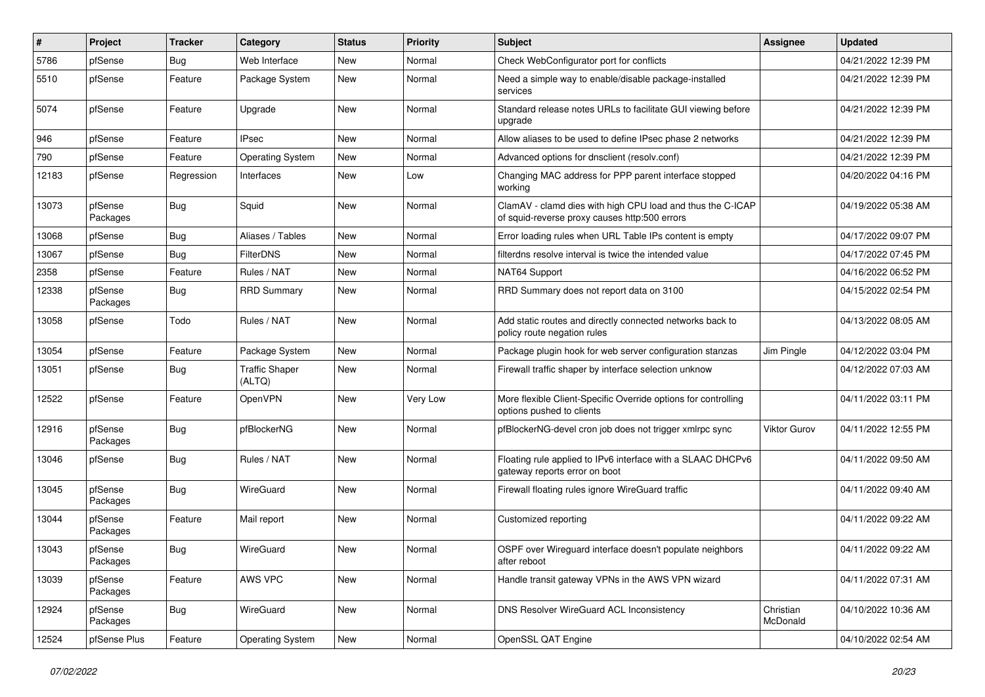| ∦     | Project             | <b>Tracker</b> | Category                        | <b>Status</b> | <b>Priority</b> | <b>Subject</b>                                                                                              | Assignee              | <b>Updated</b>      |
|-------|---------------------|----------------|---------------------------------|---------------|-----------------|-------------------------------------------------------------------------------------------------------------|-----------------------|---------------------|
| 5786  | pfSense             | Bug            | Web Interface                   | <b>New</b>    | Normal          | Check WebConfigurator port for conflicts                                                                    |                       | 04/21/2022 12:39 PM |
| 5510  | pfSense             | Feature        | Package System                  | <b>New</b>    | Normal          | Need a simple way to enable/disable package-installed<br>services                                           |                       | 04/21/2022 12:39 PM |
| 5074  | pfSense             | Feature        | Upgrade                         | New           | Normal          | Standard release notes URLs to facilitate GUI viewing before<br>upgrade                                     |                       | 04/21/2022 12:39 PM |
| 946   | pfSense             | Feature        | <b>IPsec</b>                    | New           | Normal          | Allow aliases to be used to define IPsec phase 2 networks                                                   |                       | 04/21/2022 12:39 PM |
| 790   | pfSense             | Feature        | <b>Operating System</b>         | <b>New</b>    | Normal          | Advanced options for dnsclient (resolv.conf)                                                                |                       | 04/21/2022 12:39 PM |
| 12183 | pfSense             | Regression     | Interfaces                      | <b>New</b>    | Low             | Changing MAC address for PPP parent interface stopped<br>working                                            |                       | 04/20/2022 04:16 PM |
| 13073 | pfSense<br>Packages | Bug            | Squid                           | <b>New</b>    | Normal          | ClamAV - clamd dies with high CPU load and thus the C-ICAP<br>of squid-reverse proxy causes http:500 errors |                       | 04/19/2022 05:38 AM |
| 13068 | pfSense             | Bug            | Aliases / Tables                | <b>New</b>    | Normal          | Error loading rules when URL Table IPs content is empty                                                     |                       | 04/17/2022 09:07 PM |
| 13067 | pfSense             | Bug            | FilterDNS                       | <b>New</b>    | Normal          | filterdns resolve interval is twice the intended value                                                      |                       | 04/17/2022 07:45 PM |
| 2358  | pfSense             | Feature        | Rules / NAT                     | New           | Normal          | NAT64 Support                                                                                               |                       | 04/16/2022 06:52 PM |
| 12338 | pfSense<br>Packages | Bug            | <b>RRD Summary</b>              | New           | Normal          | RRD Summary does not report data on 3100                                                                    |                       | 04/15/2022 02:54 PM |
| 13058 | pfSense             | Todo           | Rules / NAT                     | <b>New</b>    | Normal          | Add static routes and directly connected networks back to<br>policy route negation rules                    |                       | 04/13/2022 08:05 AM |
| 13054 | pfSense             | Feature        | Package System                  | <b>New</b>    | Normal          | Package plugin hook for web server configuration stanzas                                                    | Jim Pingle            | 04/12/2022 03:04 PM |
| 13051 | pfSense             | <b>Bug</b>     | <b>Traffic Shaper</b><br>(ALTQ) | <b>New</b>    | Normal          | Firewall traffic shaper by interface selection unknow                                                       |                       | 04/12/2022 07:03 AM |
| 12522 | pfSense             | Feature        | OpenVPN                         | <b>New</b>    | Very Low        | More flexible Client-Specific Override options for controlling<br>options pushed to clients                 |                       | 04/11/2022 03:11 PM |
| 12916 | pfSense<br>Packages | Bug            | pfBlockerNG                     | New           | Normal          | pfBlockerNG-devel cron job does not trigger xmlrpc sync                                                     | <b>Viktor Gurov</b>   | 04/11/2022 12:55 PM |
| 13046 | pfSense             | Bug            | Rules / NAT                     | <b>New</b>    | Normal          | Floating rule applied to IPv6 interface with a SLAAC DHCPv6<br>gateway reports error on boot                |                       | 04/11/2022 09:50 AM |
| 13045 | pfSense<br>Packages | Bug            | WireGuard                       | <b>New</b>    | Normal          | Firewall floating rules ignore WireGuard traffic                                                            |                       | 04/11/2022 09:40 AM |
| 13044 | pfSense<br>Packages | Feature        | Mail report                     | New           | Normal          | Customized reporting                                                                                        |                       | 04/11/2022 09:22 AM |
| 13043 | pfSense<br>Packages | Bug            | WireGuard                       | New           | Normal          | OSPF over Wireguard interface doesn't populate neighbors<br>after reboot                                    |                       | 04/11/2022 09:22 AM |
| 13039 | pfSense<br>Packages | Feature        | AWS VPC                         | New           | Normal          | Handle transit gateway VPNs in the AWS VPN wizard                                                           |                       | 04/11/2022 07:31 AM |
| 12924 | pfSense<br>Packages | <b>Bug</b>     | WireGuard                       | New           | Normal          | DNS Resolver WireGuard ACL Inconsistency                                                                    | Christian<br>McDonald | 04/10/2022 10:36 AM |
| 12524 | pfSense Plus        | Feature        | <b>Operating System</b>         | New           | Normal          | OpenSSL QAT Engine                                                                                          |                       | 04/10/2022 02:54 AM |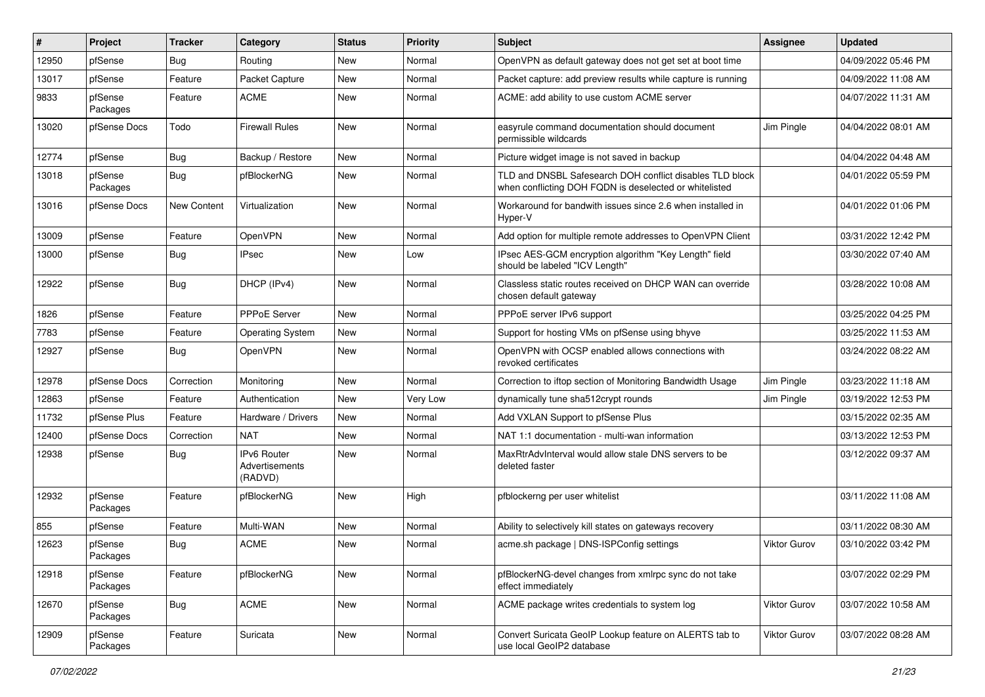| #     | Project             | <b>Tracker</b> | Category                                 | <b>Status</b> | <b>Priority</b> | <b>Subject</b>                                                                                                     | <b>Assignee</b>     | <b>Updated</b>      |
|-------|---------------------|----------------|------------------------------------------|---------------|-----------------|--------------------------------------------------------------------------------------------------------------------|---------------------|---------------------|
| 12950 | pfSense             | Bug            | Routing                                  | New           | Normal          | OpenVPN as default gateway does not get set at boot time                                                           |                     | 04/09/2022 05:46 PM |
| 13017 | pfSense             | Feature        | Packet Capture                           | New           | Normal          | Packet capture: add preview results while capture is running                                                       |                     | 04/09/2022 11:08 AM |
| 9833  | pfSense<br>Packages | Feature        | ACME                                     | New           | Normal          | ACME: add ability to use custom ACME server                                                                        |                     | 04/07/2022 11:31 AM |
| 13020 | pfSense Docs        | Todo           | <b>Firewall Rules</b>                    | <b>New</b>    | Normal          | easyrule command documentation should document<br>permissible wildcards                                            | Jim Pingle          | 04/04/2022 08:01 AM |
| 12774 | pfSense             | Bug            | Backup / Restore                         | <b>New</b>    | Normal          | Picture widget image is not saved in backup                                                                        |                     | 04/04/2022 04:48 AM |
| 13018 | pfSense<br>Packages | <b>Bug</b>     | pfBlockerNG                              | <b>New</b>    | Normal          | TLD and DNSBL Safesearch DOH conflict disables TLD block<br>when conflicting DOH FQDN is deselected or whitelisted |                     | 04/01/2022 05:59 PM |
| 13016 | pfSense Docs        | New Content    | Virtualization                           | <b>New</b>    | Normal          | Workaround for bandwith issues since 2.6 when installed in<br>Hyper-V                                              |                     | 04/01/2022 01:06 PM |
| 13009 | pfSense             | Feature        | OpenVPN                                  | <b>New</b>    | Normal          | Add option for multiple remote addresses to OpenVPN Client                                                         |                     | 03/31/2022 12:42 PM |
| 13000 | pfSense             | <b>Bug</b>     | <b>IPsec</b>                             | New           | Low             | IPsec AES-GCM encryption algorithm "Key Length" field<br>should be labeled "ICV Length"                            |                     | 03/30/2022 07:40 AM |
| 12922 | pfSense             | Bug            | DHCP (IPv4)                              | New           | Normal          | Classless static routes received on DHCP WAN can override<br>chosen default gateway                                |                     | 03/28/2022 10:08 AM |
| 1826  | pfSense             | Feature        | <b>PPPoE Server</b>                      | <b>New</b>    | Normal          | PPPoE server IPv6 support                                                                                          |                     | 03/25/2022 04:25 PM |
| 7783  | pfSense             | Feature        | <b>Operating System</b>                  | New           | Normal          | Support for hosting VMs on pfSense using bhyve                                                                     |                     | 03/25/2022 11:53 AM |
| 12927 | pfSense             | Bug            | <b>OpenVPN</b>                           | <b>New</b>    | Normal          | OpenVPN with OCSP enabled allows connections with<br>revoked certificates                                          |                     | 03/24/2022 08:22 AM |
| 12978 | pfSense Docs        | Correction     | Monitoring                               | <b>New</b>    | Normal          | Correction to iftop section of Monitoring Bandwidth Usage                                                          | Jim Pingle          | 03/23/2022 11:18 AM |
| 12863 | pfSense             | Feature        | Authentication                           | New           | Very Low        | dynamically tune sha512crypt rounds                                                                                | Jim Pingle          | 03/19/2022 12:53 PM |
| 11732 | pfSense Plus        | Feature        | Hardware / Drivers                       | New           | Normal          | Add VXLAN Support to pfSense Plus                                                                                  |                     | 03/15/2022 02:35 AM |
| 12400 | pfSense Docs        | Correction     | <b>NAT</b>                               | <b>New</b>    | Normal          | NAT 1:1 documentation - multi-wan information                                                                      |                     | 03/13/2022 12:53 PM |
| 12938 | pfSense             | <b>Bug</b>     | IPv6 Router<br>Advertisements<br>(RADVD) | New           | Normal          | MaxRtrAdvInterval would allow stale DNS servers to be<br>deleted faster                                            |                     | 03/12/2022 09:37 AM |
| 12932 | pfSense<br>Packages | Feature        | pfBlockerNG                              | <b>New</b>    | High            | pfblockerng per user whitelist                                                                                     |                     | 03/11/2022 11:08 AM |
| 855   | pfSense             | Feature        | Multi-WAN                                | <b>New</b>    | Normal          | Ability to selectively kill states on gateways recovery                                                            |                     | 03/11/2022 08:30 AM |
| 12623 | pfSense<br>Packages | Bug            | <b>ACME</b>                              | <b>New</b>    | Normal          | acme.sh package   DNS-ISPConfig settings                                                                           | <b>Viktor Gurov</b> | 03/10/2022 03:42 PM |
| 12918 | pfSense<br>Packages | Feature        | pfBlockerNG                              | New           | Normal          | pfBlockerNG-devel changes from xmlrpc sync do not take<br>effect immediately                                       |                     | 03/07/2022 02:29 PM |
| 12670 | pfSense<br>Packages | Bug            | <b>ACME</b>                              | New           | Normal          | ACME package writes credentials to system log                                                                      | Viktor Gurov        | 03/07/2022 10:58 AM |
| 12909 | pfSense<br>Packages | Feature        | Suricata                                 | New           | Normal          | Convert Suricata GeoIP Lookup feature on ALERTS tab to<br>use local GeoIP2 database                                | Viktor Gurov        | 03/07/2022 08:28 AM |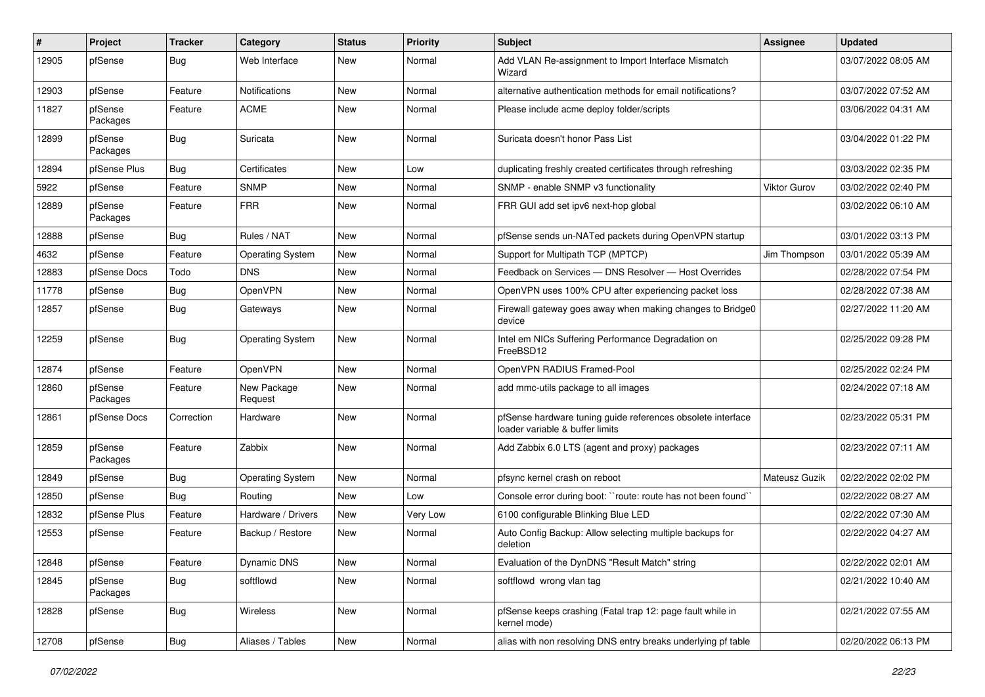| #     | Project             | Tracker    | Category                | <b>Status</b> | <b>Priority</b> | <b>Subject</b>                                                                                 | <b>Assignee</b>     | <b>Updated</b>      |
|-------|---------------------|------------|-------------------------|---------------|-----------------|------------------------------------------------------------------------------------------------|---------------------|---------------------|
| 12905 | pfSense             | <b>Bug</b> | Web Interface           | New           | Normal          | Add VLAN Re-assignment to Import Interface Mismatch<br>Wizard                                  |                     | 03/07/2022 08:05 AM |
| 12903 | pfSense             | Feature    | <b>Notifications</b>    | New           | Normal          | alternative authentication methods for email notifications?                                    |                     | 03/07/2022 07:52 AM |
| 11827 | pfSense<br>Packages | Feature    | <b>ACME</b>             | New           | Normal          | Please include acme deploy folder/scripts                                                      |                     | 03/06/2022 04:31 AM |
| 12899 | pfSense<br>Packages | Bug        | Suricata                | New           | Normal          | Suricata doesn't honor Pass List                                                               |                     | 03/04/2022 01:22 PM |
| 12894 | pfSense Plus        | Bug        | Certificates            | New           | Low             | duplicating freshly created certificates through refreshing                                    |                     | 03/03/2022 02:35 PM |
| 5922  | pfSense             | Feature    | <b>SNMP</b>             | New           | Normal          | SNMP - enable SNMP v3 functionality                                                            | <b>Viktor Gurov</b> | 03/02/2022 02:40 PM |
| 12889 | pfSense<br>Packages | Feature    | <b>FRR</b>              | New           | Normal          | FRR GUI add set ipv6 next-hop global                                                           |                     | 03/02/2022 06:10 AM |
| 12888 | pfSense             | Bug        | Rules / NAT             | New           | Normal          | pfSense sends un-NATed packets during OpenVPN startup                                          |                     | 03/01/2022 03:13 PM |
| 4632  | pfSense             | Feature    | <b>Operating System</b> | New           | Normal          | Support for Multipath TCP (MPTCP)                                                              | Jim Thompson        | 03/01/2022 05:39 AM |
| 12883 | pfSense Docs        | Todo       | <b>DNS</b>              | New           | Normal          | Feedback on Services - DNS Resolver - Host Overrides                                           |                     | 02/28/2022 07:54 PM |
| 11778 | pfSense             | Bug        | OpenVPN                 | <b>New</b>    | Normal          | OpenVPN uses 100% CPU after experiencing packet loss                                           |                     | 02/28/2022 07:38 AM |
| 12857 | pfSense             | Bug        | Gateways                | New           | Normal          | Firewall gateway goes away when making changes to Bridge0<br>device                            |                     | 02/27/2022 11:20 AM |
| 12259 | pfSense             | <b>Bug</b> | <b>Operating System</b> | New           | Normal          | Intel em NICs Suffering Performance Degradation on<br>FreeBSD12                                |                     | 02/25/2022 09:28 PM |
| 12874 | pfSense             | Feature    | OpenVPN                 | <b>New</b>    | Normal          | OpenVPN RADIUS Framed-Pool                                                                     |                     | 02/25/2022 02:24 PM |
| 12860 | pfSense<br>Packages | Feature    | New Package<br>Request  | New           | Normal          | add mmc-utils package to all images                                                            |                     | 02/24/2022 07:18 AM |
| 12861 | pfSense Docs        | Correction | Hardware                | New           | Normal          | pfSense hardware tuning guide references obsolete interface<br>loader variable & buffer limits |                     | 02/23/2022 05:31 PM |
| 12859 | pfSense<br>Packages | Feature    | Zabbix                  | New           | Normal          | Add Zabbix 6.0 LTS (agent and proxy) packages                                                  |                     | 02/23/2022 07:11 AM |
| 12849 | pfSense             | Bug        | <b>Operating System</b> | New           | Normal          | pfsync kernel crash on reboot                                                                  | Mateusz Guzik       | 02/22/2022 02:02 PM |
| 12850 | pfSense             | Bug        | Routing                 | New           | Low             | Console error during boot: "route: route has not been found"                                   |                     | 02/22/2022 08:27 AM |
| 12832 | pfSense Plus        | Feature    | Hardware / Drivers      | New           | Very Low        | 6100 configurable Blinking Blue LED                                                            |                     | 02/22/2022 07:30 AM |
| 12553 | pfSense             | Feature    | Backup / Restore        | New           | Normal          | Auto Config Backup: Allow selecting multiple backups for<br>deletion                           |                     | 02/22/2022 04:27 AM |
| 12848 | pfSense             | Feature    | <b>Dynamic DNS</b>      | New           | Normal          | Evaluation of the DynDNS "Result Match" string                                                 |                     | 02/22/2022 02:01 AM |
| 12845 | pfSense<br>Packages | <b>Bug</b> | softflowd               | New           | Normal          | softflowd wrong vlan tag                                                                       |                     | 02/21/2022 10:40 AM |
| 12828 | pfSense             | <b>Bug</b> | Wireless                | New           | Normal          | pfSense keeps crashing (Fatal trap 12: page fault while in<br>kernel mode)                     |                     | 02/21/2022 07:55 AM |
| 12708 | pfSense             | <b>Bug</b> | Aliases / Tables        | New           | Normal          | alias with non resolving DNS entry breaks underlying pf table                                  |                     | 02/20/2022 06:13 PM |